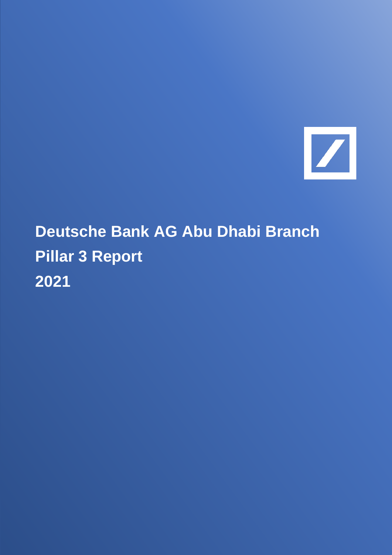

# **Deutsche Bank AG Abu Dhabi Branch Pillar 3 Report 2021**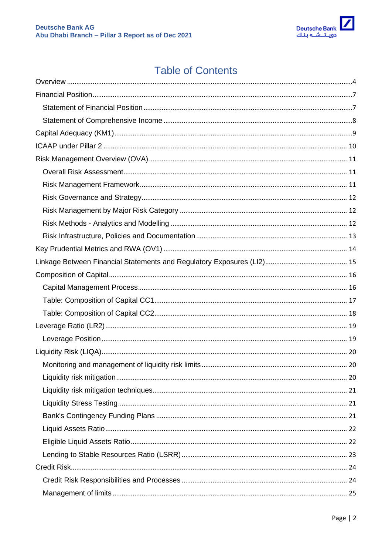

# **Table of Contents**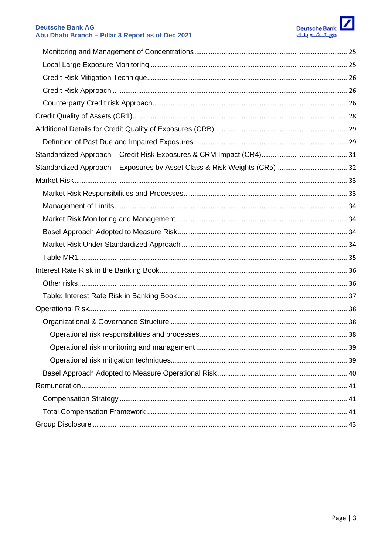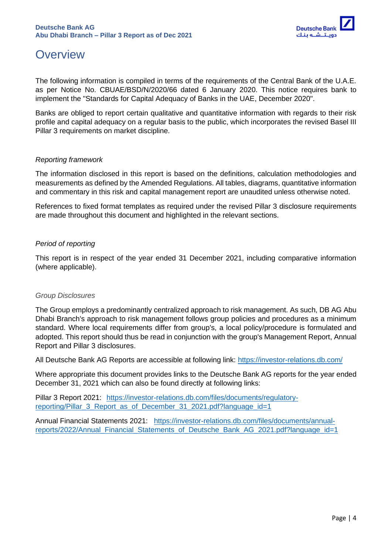

# <span id="page-3-0"></span>**Overview**

The following information is compiled in terms of the requirements of the Central Bank of the U.A.E. as per Notice No. CBUAE/BSD/N/2020/66 dated 6 January 2020. This notice requires bank to implement the "Standards for Capital Adequacy of Banks in the UAE, December 2020".

Banks are obliged to report certain qualitative and quantitative information with regards to their risk profile and capital adequacy on a regular basis to the public, which incorporates the revised Basel III Pillar 3 requirements on market discipline.

#### *Reporting framework*

The information disclosed in this report is based on the definitions, calculation methodologies and measurements as defined by the Amended Regulations. All tables, diagrams, quantitative information and commentary in this risk and capital management report are unaudited unless otherwise noted.

References to fixed format templates as required under the revised Pillar 3 disclosure requirements are made throughout this document and highlighted in the relevant sections.

#### *Period of reporting*

This report is in respect of the year ended 31 December 2021, including comparative information (where applicable).

#### *Group Disclosures*

The Group employs a predominantly centralized approach to risk management. As such, DB AG Abu Dhabi Branch's approach to risk management follows group policies and procedures as a minimum standard. Where local requirements differ from group's, a local policy/procedure is formulated and adopted. This report should thus be read in conjunction with the group's Management Report, Annual Report and Pillar 3 disclosures.

All Deutsche Bank AG Reports are accessible at following link:<https://investor-relations.db.com/>

Where appropriate this document provides links to the Deutsche Bank AG reports for the year ended December 31, 2021 which can also be found directly at following links:

Pillar 3 Report 2021: [https://investor-relations.db.com/files/documents/regulatory](https://investor-relations.db.com/files/documents/regulatory-reporting/Pillar_3_Report_as_of_December_31_2021.pdf?language_id=1)[reporting/Pillar\\_3\\_Report\\_as\\_of\\_December\\_31\\_2021.pdf?language\\_id=1](https://investor-relations.db.com/files/documents/regulatory-reporting/Pillar_3_Report_as_of_December_31_2021.pdf?language_id=1)

Annual Financial Statements 2021: [https://investor-relations.db.com/files/documents/annual](https://investor-relations.db.com/files/documents/annual-reports/2022/Annual_Financial_Statements_of_Deutsche_Bank_AG_2021.pdf?language_id=1)reports/2022/Annual Financial Statements of Deutsche Bank AG 2021.pdf?language id=1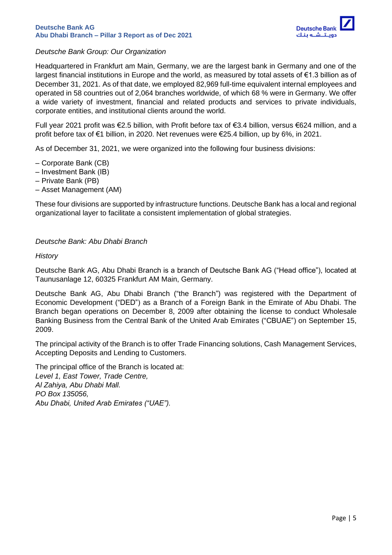

#### *Deutsche Bank Group: Our Organization*

Headquartered in Frankfurt am Main, Germany, we are the largest bank in Germany and one of the largest financial institutions in Europe and the world, as measured by total assets of €1.3 billion as of December 31, 2021. As of that date, we employed 82,969 full-time equivalent internal employees and operated in 58 countries out of 2,064 branches worldwide, of which 68 % were in Germany. We offer a wide variety of investment, financial and related products and services to private individuals, corporate entities, and institutional clients around the world.

Full year 2021 profit was €2.5 billion, with Profit before tax of €3.4 billion, versus €624 million, and a profit before tax of €1 billion, in 2020. Net revenues were €25.4 billion, up by 6%, in 2021.

As of December 31, 2021, we were organized into the following four business divisions:

- ‒ Corporate Bank (CB)
- ‒ Investment Bank (IB)
- ‒ Private Bank (PB)
- ‒ Asset Management (AM)

These four divisions are supported by infrastructure functions. Deutsche Bank has a local and regional organizational layer to facilitate a consistent implementation of global strategies.

#### *Deutsche Bank: Abu Dhabi Branch*

#### *History*

Deutsche Bank AG, Abu Dhabi Branch is a branch of Deutsche Bank AG ("Head office"), located at Taunusanlage 12, 60325 Frankfurt AM Main, Germany.

Deutsche Bank AG, Abu Dhabi Branch ("the Branch") was registered with the Department of Economic Development ("DED") as a Branch of a Foreign Bank in the Emirate of Abu Dhabi. The Branch began operations on December 8, 2009 after obtaining the license to conduct Wholesale Banking Business from the Central Bank of the United Arab Emirates ("CBUAE") on September 15, 2009.

The principal activity of the Branch is to offer Trade Financing solutions, Cash Management Services, Accepting Deposits and Lending to Customers.

The principal office of the Branch is located at: *Level 1, East Tower, Trade Centre, Al Zahiya, Abu Dhabi Mall. PO Box 135056, Abu Dhabi, United Arab Emirates ("UAE").*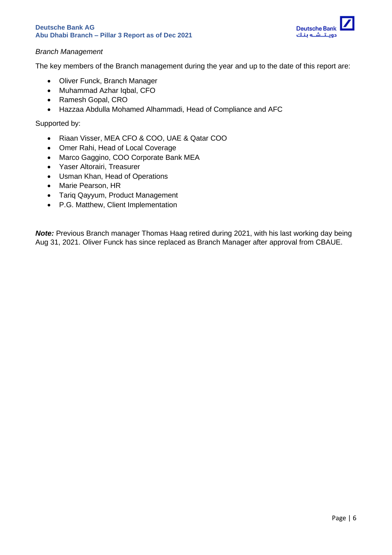

#### *Branch Management*

The key members of the Branch management during the year and up to the date of this report are:

- Oliver Funck, Branch Manager
- Muhammad Azhar Iqbal, CFO
- Ramesh Gopal, CRO
- Hazzaa Abdulla Mohamed Alhammadi, Head of Compliance and AFC

Supported by:

- Riaan Visser, MEA CFO & COO, UAE & Qatar COO
- Omer Rahi, Head of Local Coverage
- Marco Gaggino, COO Corporate Bank MEA
- Yaser Altorairi, Treasurer
- Usman Khan, Head of Operations
- Marie Pearson, HR
- Tariq Qayyum, Product Management
- P.G. Matthew, Client Implementation

*Note:* Previous Branch manager Thomas Haag retired during 2021, with his last working day being Aug 31, 2021. Oliver Funck has since replaced as Branch Manager after approval from CBAUE.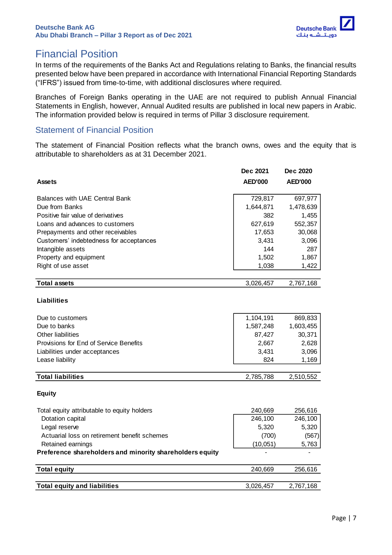

# <span id="page-6-0"></span>Financial Position

In terms of the requirements of the Banks Act and Regulations relating to Banks, the financial results presented below have been prepared in accordance with International Financial Reporting Standards ("IFRS") issued from time-to-time, with additional disclosures where required.

Branches of Foreign Banks operating in the UAE are not required to publish Annual Financial Statements in English, however, Annual Audited results are published in local new papers in Arabic. The information provided below is required in terms of Pillar 3 disclosure requirement.

### <span id="page-6-1"></span>Statement of Financial Position

The statement of Financial Position reflects what the branch owns, owes and the equity that is attributable to shareholders as at 31 December 2021.

|                                                          | <b>Dec 2021</b> | Dec 2020       |
|----------------------------------------------------------|-----------------|----------------|
| <b>Assets</b>                                            | <b>AED'000</b>  | <b>AED'000</b> |
| Balances with UAE Central Bank                           | 729,817         | 697,977        |
| Due from Banks                                           | 1,644,871       | 1,478,639      |
| Positive fair value of derivatives                       | 382             | 1,455          |
| Loans and advances to customers                          | 627,619         | 552,357        |
| Prepayments and other receivables                        | 17,653          | 30,068         |
| Customers' indebtedness for acceptances                  | 3,431           | 3,096          |
| Intangible assets                                        | 144             | 287            |
| Property and equipment                                   | 1,502           | 1,867          |
| Right of use asset                                       | 1,038           | 1,422          |
| <b>Total assets</b>                                      | 3,026,457       | 2,767,168      |
|                                                          |                 |                |
| <b>Liabilities</b>                                       |                 |                |
| Due to customers                                         | 1,104,191       | 869,833        |
| Due to banks                                             | 1,587,248       | 1,603,455      |
| Other liabilities                                        | 87,427          | 30,371         |
| Provisions for End of Service Benefits                   | 2,667           | 2,628          |
| Liabilities under acceptances                            | 3,431           | 3,096          |
| Lease liability                                          | 824             | 1,169          |
| <b>Total liabilities</b>                                 | 2,785,788       | 2,510,552      |
| <b>Equity</b>                                            |                 |                |
| Total equity attributable to equity holders              | 240,669         | 256,616        |
| Dotation capital                                         | 246,100         | 246,100        |
| Legal reserve                                            | 5,320           | 5,320          |
| Actuarial loss on retirement benefit schemes             | (700)           | (567)          |
| Retained earnings                                        | (10, 051)       | 5,763          |
| Preference shareholders and minority shareholders equity |                 |                |
| <b>Total equity</b>                                      | 240,669         | 256,616        |
| <b>Total equity and liabilities</b>                      |                 |                |
|                                                          | 3,026,457       | 2,767,168      |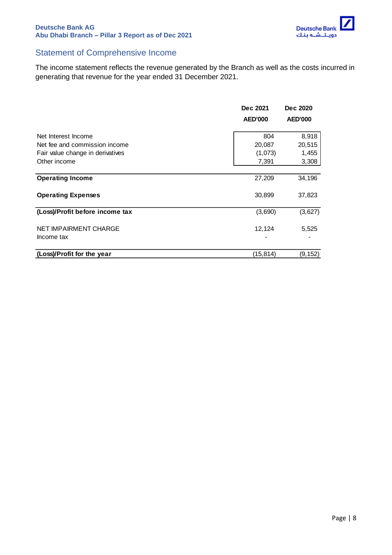

### <span id="page-7-0"></span>Statement of Comprehensive Income

The income statement reflects the revenue generated by the Branch as well as the costs incurred in generating that revenue for the year ended 31 December 2021.

|                                  | Dec 2021       | Dec 2020       |
|----------------------------------|----------------|----------------|
|                                  | <b>AED'000</b> | <b>AED'000</b> |
| Net Interest Income              | 804            | 8,918          |
| Net fee and commission income    | 20,087         | 20,515         |
| Fair value change in derivatives | (1,073)        | 1,455          |
| Other income                     | 7,391          | 3,308          |
|                                  |                |                |
| <b>Operating Income</b>          | 27,209         | 34,196         |
| <b>Operating Expenses</b>        | 30,899         | 37,823         |
| (Loss)/Profit before income tax  | (3,690)        | (3,627)        |
| NET IMPAIRMENT CHARGE            | 12,124         | 5,525          |
| Income tax                       |                |                |
| (Loss)/Profit for the year       | (15,814)       | (9, 152)       |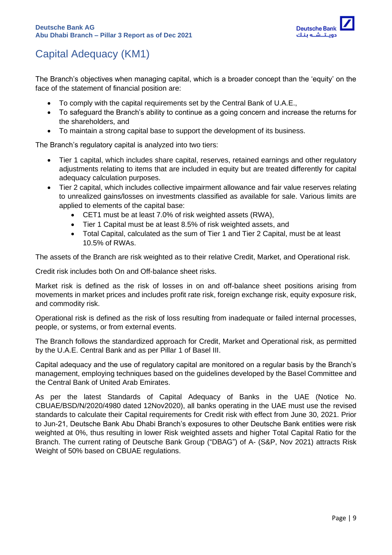

# <span id="page-8-0"></span>Capital Adequacy (KM1)

The Branch's objectives when managing capital, which is a broader concept than the 'equity' on the face of the statement of financial position are:

- To comply with the capital requirements set by the Central Bank of U.A.E.,
- To safeguard the Branch's ability to continue as a going concern and increase the returns for the shareholders, and
- To maintain a strong capital base to support the development of its business.

The Branch's regulatory capital is analyzed into two tiers:

- Tier 1 capital, which includes share capital, reserves, retained earnings and other regulatory adjustments relating to items that are included in equity but are treated differently for capital adequacy calculation purposes.
- Tier 2 capital, which includes collective impairment allowance and fair value reserves relating to unrealized gains/losses on investments classified as available for sale. Various limits are applied to elements of the capital base:
	- CET1 must be at least 7.0% of risk weighted assets (RWA),
	- Tier 1 Capital must be at least 8.5% of risk weighted assets, and
	- Total Capital, calculated as the sum of Tier 1 and Tier 2 Capital, must be at least 10.5% of RWAs.

The assets of the Branch are risk weighted as to their relative Credit, Market, and Operational risk.

Credit risk includes both On and Off-balance sheet risks.

Market risk is defined as the risk of losses in on and off-balance sheet positions arising from movements in market prices and includes profit rate risk, foreign exchange risk, equity exposure risk, and commodity risk.

Operational risk is defined as the risk of loss resulting from inadequate or failed internal processes, people, or systems, or from external events.

The Branch follows the standardized approach for Credit, Market and Operational risk, as permitted by the U.A.E. Central Bank and as per Pillar 1 of Basel III.

Capital adequacy and the use of regulatory capital are monitored on a regular basis by the Branch's management, employing techniques based on the guidelines developed by the Basel Committee and the Central Bank of United Arab Emirates.

As per the latest Standards of Capital Adequacy of Banks in the UAE (Notice No. CBUAE/BSD/N/2020/4980 dated 12Nov2020), all banks operating in the UAE must use the revised standards to calculate their Capital requirements for Credit risk with effect from June 30, 2021. Prior to Jun-21, Deutsche Bank Abu Dhabi Branch's exposures to other Deutsche Bank entities were risk weighted at 0%, thus resulting in lower Risk weighted assets and higher Total Capital Ratio for the Branch. The current rating of Deutsche Bank Group ("DBAG") of A- (S&P, Nov 2021) attracts Risk Weight of 50% based on CBUAE regulations.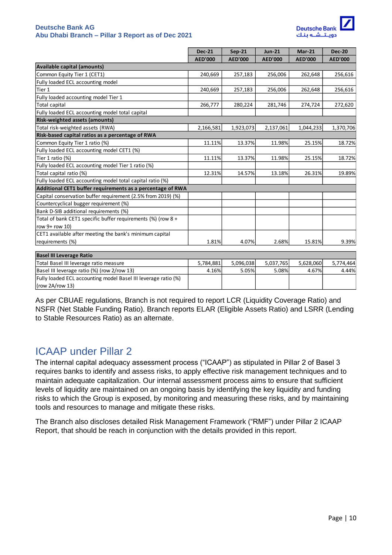

|                                                                | <b>Dec-21</b>  | $Sep-21$       | <b>Jun-21</b>  | $Mar-21$       | <b>Dec-20</b>  |
|----------------------------------------------------------------|----------------|----------------|----------------|----------------|----------------|
|                                                                | <b>AED'000</b> | <b>AED'000</b> | <b>AED'000</b> | <b>AED'000</b> | <b>AED'000</b> |
| Available capital (amounts)                                    |                |                |                |                |                |
| Common Equity Tier 1 (CET1)                                    | 240,669        | 257,183        | 256,006        | 262,648        | 256,616        |
| Fully loaded ECL accounting model                              |                |                |                |                |                |
| Tier 1                                                         | 240,669        | 257,183        | 256,006        | 262,648        | 256,616        |
| Fully loaded accounting model Tier 1                           |                |                |                |                |                |
| <b>Total capital</b>                                           | 266,777        | 280,224        | 281,746        | 274,724        | 272,620        |
| Fully loaded ECL accounting model total capital                |                |                |                |                |                |
| <b>Risk-weighted assets (amounts)</b>                          |                |                |                |                |                |
| Total risk-weighted assets (RWA)                               | 2,166,581      | 1,923,073      | 2,137,061      | 1,044,233      | 1,370,706      |
| Risk-based capital ratios as a percentage of RWA               |                |                |                |                |                |
| Common Equity Tier 1 ratio (%)                                 | 11.11%         | 13.37%         | 11.98%         | 25.15%         | 18.72%         |
| Fully loaded ECL accounting model CET1 (%)                     |                |                |                |                |                |
| Tier 1 ratio (%)                                               | 11.11%         | 13.37%         | 11.98%         | 25.15%         | 18.72%         |
| Fully loaded ECL accounting model Tier 1 ratio (%)             |                |                |                |                |                |
| Total capital ratio (%)                                        | 12.31%         | 14.57%         | 13.18%         | 26.31%         | 19.89%         |
| Fully loaded ECL accounting model total capital ratio (%)      |                |                |                |                |                |
| Additional CET1 buffer requirements as a percentage of RWA     |                |                |                |                |                |
| Capital conservation buffer requirement (2.5% from 2019) (%)   |                |                |                |                |                |
| Countercyclical bugger requirement (%)                         |                |                |                |                |                |
| Bank D-SIB additional requirements (%)                         |                |                |                |                |                |
| Total of bank CET1 specific buffer requirements (%) (row $8 +$ |                |                |                |                |                |
| row 9+ row 10)                                                 |                |                |                |                |                |
| CET1 available after meeting the bank's minimum capital        |                |                |                |                |                |
| requirements (%)                                               | 1.81%          | 4.07%          | 2.68%          | 15.81%         | 9.39%          |
| Racel III Leverage Ratio                                       |                |                |                |                |                |
|                                                                |                |                |                |                |                |

| <b>Basel III Leverage Ratio</b>                                |           |           |           |           |           |
|----------------------------------------------------------------|-----------|-----------|-----------|-----------|-----------|
| Total Basel III leverage ratio measure                         | 5.784.881 | 5.096.038 | 5.037.765 | 5.628.060 | 5.774.464 |
| Basel III leverage ratio (%) (row 2/row 13)                    | 4.16%     | 5.05%     | 5.08%     | 4.67%     | 4.44%     |
| Fully loaded ECL accounting model Basel III leverage ratio (%) |           |           |           |           |           |
| $\vert$ (row 2A/row 13)                                        |           |           |           |           |           |

As per CBUAE regulations, Branch is not required to report LCR (Liquidity Coverage Ratio) and NSFR (Net Stable Funding Ratio). Branch reports ELAR (Eligible Assets Ratio) and LSRR (Lending to Stable Resources Ratio) as an alternate.

# <span id="page-9-0"></span>ICAAP under Pillar 2

The internal capital adequacy assessment process ("ICAAP") as stipulated in Pillar 2 of Basel 3 requires banks to identify and assess risks, to apply effective risk management techniques and to maintain adequate capitalization. Our internal assessment process aims to ensure that sufficient levels of liquidity are maintained on an ongoing basis by identifying the key liquidity and funding risks to which the Group is exposed, by monitoring and measuring these risks, and by maintaining tools and resources to manage and mitigate these risks.

The Branch also discloses detailed Risk Management Framework ("RMF") under Pillar 2 ICAAP Report, that should be reach in conjunction with the details provided in this report.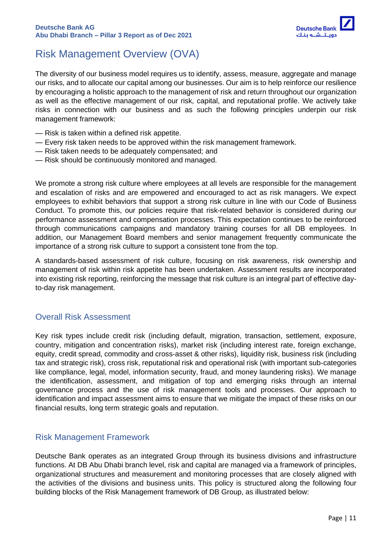

# <span id="page-10-0"></span>Risk Management Overview (OVA)

The diversity of our business model requires us to identify, assess, measure, aggregate and manage our risks, and to allocate our capital among our businesses. Our aim is to help reinforce our resilience by encouraging a holistic approach to the management of risk and return throughout our organization as well as the effective management of our risk, capital, and reputational profile. We actively take risks in connection with our business and as such the following principles underpin our risk management framework:

- Risk is taken within a defined risk appetite.
- Every risk taken needs to be approved within the risk management framework.
- Risk taken needs to be adequately compensated; and
- Risk should be continuously monitored and managed.

We promote a strong risk culture where employees at all levels are responsible for the management and escalation of risks and are empowered and encouraged to act as risk managers. We expect employees to exhibit behaviors that support a strong risk culture in line with our Code of Business Conduct. To promote this, our policies require that risk-related behavior is considered during our performance assessment and compensation processes. This expectation continues to be reinforced through communications campaigns and mandatory training courses for all DB employees. In addition, our Management Board members and senior management frequently communicate the importance of a strong risk culture to support a consistent tone from the top.

A standards-based assessment of risk culture, focusing on risk awareness, risk ownership and management of risk within risk appetite has been undertaken. Assessment results are incorporated into existing risk reporting, reinforcing the message that risk culture is an integral part of effective dayto-day risk management.

### <span id="page-10-1"></span>Overall Risk Assessment

Key risk types include credit risk (including default, migration, transaction, settlement, exposure, country, mitigation and concentration risks), market risk (including interest rate, foreign exchange, equity, credit spread, commodity and cross-asset & other risks), liquidity risk, business risk (including tax and strategic risk), cross risk, reputational risk and operational risk (with important sub-categories like compliance, legal, model, information security, fraud, and money laundering risks). We manage the identification, assessment, and mitigation of top and emerging risks through an internal governance process and the use of risk management tools and processes. Our approach to identification and impact assessment aims to ensure that we mitigate the impact of these risks on our financial results, long term strategic goals and reputation.

### <span id="page-10-2"></span>Risk Management Framework

Deutsche Bank operates as an integrated Group through its business divisions and infrastructure functions. At DB Abu Dhabi branch level, risk and capital are managed via a framework of principles, organizational structures and measurement and monitoring processes that are closely aligned with the activities of the divisions and business units. This policy is structured along the following four building blocks of the Risk Management framework of DB Group, as illustrated below: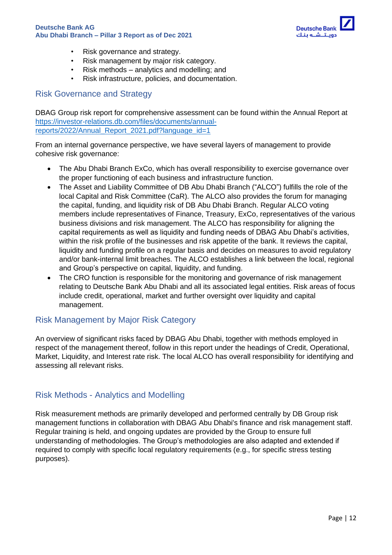

- Risk governance and strategy.
- Risk management by major risk category.
- Risk methods analytics and modelling; and
- Risk infrastructure, policies, and documentation.

#### <span id="page-11-0"></span>Risk Governance and Strategy

DBAG Group risk report for comprehensive assessment can be found within the Annual Report at [https://investor-relations.db.com/files/documents/annual](https://investor-relations.db.com/files/documents/annual-reports/2022/Annual_Report_2021.pdf?language_id=1)[reports/2022/Annual\\_Report\\_2021.pdf?language\\_id=1](https://investor-relations.db.com/files/documents/annual-reports/2022/Annual_Report_2021.pdf?language_id=1)

From an internal governance perspective, we have several layers of management to provide cohesive risk governance:

- The Abu Dhabi Branch ExCo, which has overall responsibility to exercise governance over the proper functioning of each business and infrastructure function.
- The Asset and Liability Committee of DB Abu Dhabi Branch ("ALCO") fulfills the role of the local Capital and Risk Committee (CaR). The ALCO also provides the forum for managing the capital, funding, and liquidity risk of DB Abu Dhabi Branch. Regular ALCO voting members include representatives of Finance, Treasury, ExCo, representatives of the various business divisions and risk management. The ALCO has responsibility for aligning the capital requirements as well as liquidity and funding needs of DBAG Abu Dhabi's activities, within the risk profile of the businesses and risk appetite of the bank. It reviews the capital, liquidity and funding profile on a regular basis and decides on measures to avoid regulatory and/or bank-internal limit breaches. The ALCO establishes a link between the local, regional and Group's perspective on capital, liquidity, and funding.
- The CRO function is responsible for the monitoring and governance of risk management relating to Deutsche Bank Abu Dhabi and all its associated legal entities. Risk areas of focus include credit, operational, market and further oversight over liquidity and capital management.

### <span id="page-11-1"></span>Risk Management by Major Risk Category

An overview of significant risks faced by DBAG Abu Dhabi, together with methods employed in respect of the management thereof, follow in this report under the headings of Credit, Operational, Market, Liquidity, and Interest rate risk. The local ALCO has overall responsibility for identifying and assessing all relevant risks.

### <span id="page-11-2"></span>Risk Methods - Analytics and Modelling

Risk measurement methods are primarily developed and performed centrally by DB Group risk management functions in collaboration with DBAG Abu Dhabi's finance and risk management staff. Regular training is held, and ongoing updates are provided by the Group to ensure full understanding of methodologies. The Group's methodologies are also adapted and extended if required to comply with specific local regulatory requirements (e.g., for specific stress testing purposes).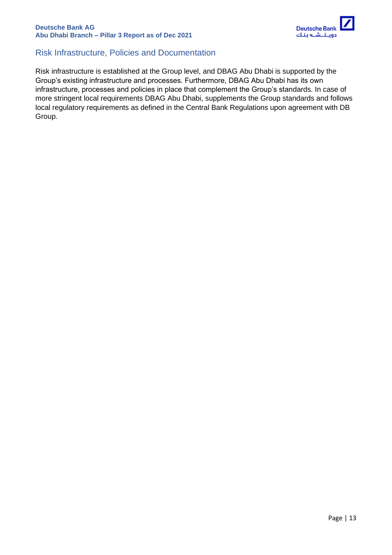

### <span id="page-12-0"></span>Risk Infrastructure, Policies and Documentation

Risk infrastructure is established at the Group level, and DBAG Abu Dhabi is supported by the Group's existing infrastructure and processes. Furthermore, DBAG Abu Dhabi has its own infrastructure, processes and policies in place that complement the Group's standards. In case of more stringent local requirements DBAG Abu Dhabi, supplements the Group standards and follows local regulatory requirements as defined in the Central Bank Regulations upon agreement with DB Group.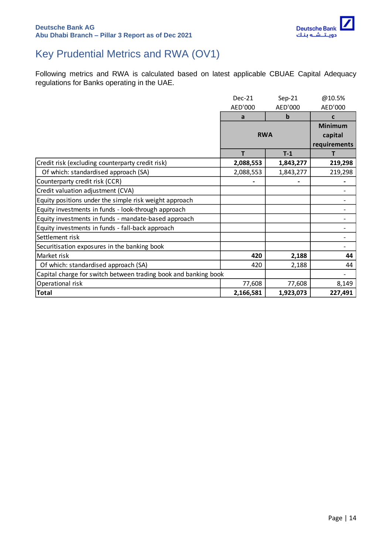

# <span id="page-13-0"></span>Key Prudential Metrics and RWA (OV1)

Following metrics and RWA is calculated based on latest applicable CBUAE Capital Adequacy regulations for Banks operating in the UAE.

|                                                                 | $Dec-21$   | $Sep-21$    | @10.5%         |
|-----------------------------------------------------------------|------------|-------------|----------------|
|                                                                 | AED'000    | AED'000     | AED'000        |
|                                                                 | a          | $\mathbf b$ | C              |
|                                                                 |            |             | <b>Minimum</b> |
|                                                                 | <b>RWA</b> |             | capital        |
|                                                                 |            |             | requirements   |
|                                                                 | т          | $T-1$       | т              |
| Credit risk (excluding counterparty credit risk)                | 2,088,553  | 1,843,277   | 219,298        |
| Of which: standardised approach (SA)                            | 2,088,553  | 1,843,277   | 219,298        |
| Counterparty credit risk (CCR)                                  |            |             |                |
| Credit valuation adjustment (CVA)                               |            |             |                |
| Equity positions under the simple risk weight approach          |            |             |                |
| Equity investments in funds - look-through approach             |            |             |                |
| Equity investments in funds - mandate-based approach            |            |             |                |
| Equity investments in funds - fall-back approach                |            |             |                |
| Settlement risk                                                 |            |             |                |
| Securitisation exposures in the banking book                    |            |             |                |
| Market risk                                                     | 420        | 2,188       | 44             |
| Of which: standardised approach (SA)                            | 420        | 2,188       | 44             |
| Capital charge for switch between trading book and banking book |            |             |                |
| Operational risk                                                | 77,608     | 77,608      | 8,149          |
| <b>Total</b>                                                    | 2,166,581  | 1,923,073   | 227,491        |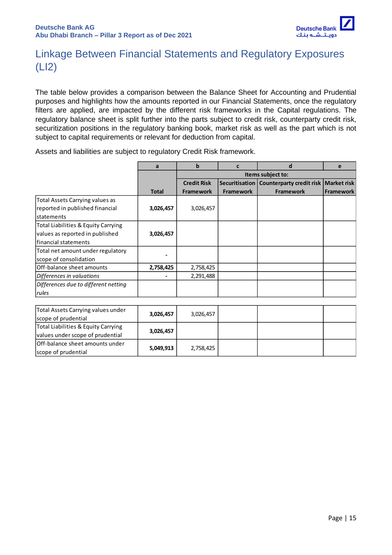

# <span id="page-14-0"></span>Linkage Between Financial Statements and Regulatory Exposures (LI2)

The table below provides a comparison between the Balance Sheet for Accounting and Prudential purposes and highlights how the amounts reported in our Financial Statements, once the regulatory filters are applied, are impacted by the different risk frameworks in the Capital regulations. The regulatory balance sheet is split further into the parts subject to credit risk, counterparty credit risk, securitization positions in the regulatory banking book, market risk as well as the part which is not subject to capital requirements or relevant for deduction from capital.

Assets and liabilities are subject to regulatory Credit Risk framework.

|                                      | a            | b                  | c                 | d                                                       | e                |
|--------------------------------------|--------------|--------------------|-------------------|---------------------------------------------------------|------------------|
|                                      |              |                    | Items subject to: |                                                         |                  |
|                                      |              | <b>Credit Risk</b> |                   | Securitisation   Counterparty credit risk   Market risk |                  |
|                                      | <b>Total</b> | <b>Framework</b>   | <b>Framework</b>  | <b>Framework</b>                                        | <b>Framework</b> |
| Total Assets Carrying values as      |              |                    |                   |                                                         |                  |
| reported in published financial      | 3,026,457    | 3,026,457          |                   |                                                         |                  |
| lstatements                          |              |                    |                   |                                                         |                  |
| Total Liabilities & Equity Carrying  |              |                    |                   |                                                         |                  |
| values as reported in published      | 3,026,457    |                    |                   |                                                         |                  |
| lfinancial statements                |              |                    |                   |                                                         |                  |
| Total net amount under regulatory    |              |                    |                   |                                                         |                  |
| scope of consolidation               |              |                    |                   |                                                         |                  |
| Off-balance sheet amounts            | 2,758,425    | 2,758,425          |                   |                                                         |                  |
| Differences in valuations            |              | 2,291,488          |                   |                                                         |                  |
| Differences due to different netting |              |                    |                   |                                                         |                  |
| rules                                |              |                    |                   |                                                         |                  |

| Total Assets Carrying values under<br>scope of prudential               | 3,026,457 | 3,026,457 |  |  |
|-------------------------------------------------------------------------|-----------|-----------|--|--|
| Total Liabilities & Equity Carrying<br>values under scope of prudential | 3,026,457 |           |  |  |
| Off-balance sheet amounts under<br>scope of prudential                  | 5,049,913 | 2,758,425 |  |  |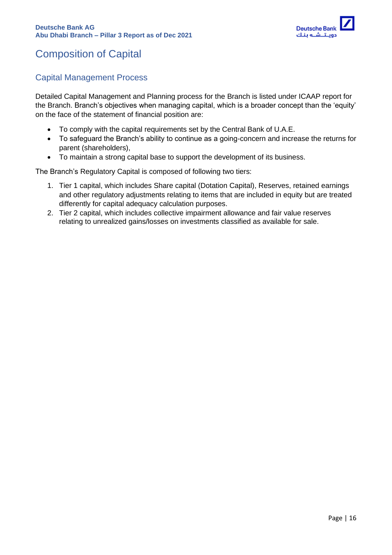# <span id="page-15-0"></span>Composition of Capital

### <span id="page-15-1"></span>Capital Management Process

Detailed Capital Management and Planning process for the Branch is listed under ICAAP report for the Branch. Branch's objectives when managing capital, which is a broader concept than the 'equity' on the face of the statement of financial position are:

- To comply with the capital requirements set by the Central Bank of U.A.E.
- To safeguard the Branch's ability to continue as a going-concern and increase the returns for parent (shareholders),
- To maintain a strong capital base to support the development of its business.

The Branch's Regulatory Capital is composed of following two tiers:

- 1. Tier 1 capital, which includes Share capital (Dotation Capital), Reserves, retained earnings and other regulatory adjustments relating to items that are included in equity but are treated differently for capital adequacy calculation purposes.
- 2. Tier 2 capital, which includes collective impairment allowance and fair value reserves relating to unrealized gains/losses on investments classified as available for sale.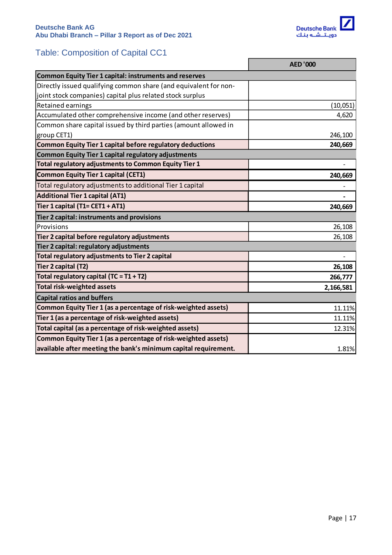

# <span id="page-16-0"></span>Table: Composition of Capital CC1

|                                                                  | <b>AED '000</b>          |
|------------------------------------------------------------------|--------------------------|
| <b>Common Equity Tier 1 capital: instruments and reserves</b>    |                          |
| Directly issued qualifying common share (and equivalent for non- |                          |
| joint stock companies) capital plus related stock surplus        |                          |
| Retained earnings                                                | (10, 051)                |
| Accumulated other comprehensive income (and other reserves)      | 4,620                    |
| Common share capital issued by third parties (amount allowed in  |                          |
| group CET1)                                                      | 246,100                  |
| <b>Common Equity Tier 1 capital before regulatory deductions</b> | 240,669                  |
| <b>Common Equity Tier 1 capital regulatory adjustments</b>       |                          |
| Total regulatory adjustments to Common Equity Tier 1             |                          |
| <b>Common Equity Tier 1 capital (CET1)</b>                       | 240,669                  |
| Total regulatory adjustments to additional Tier 1 capital        |                          |
| <b>Additional Tier 1 capital (AT1)</b>                           |                          |
| Tier 1 capital (T1= CET1 + AT1)                                  | 240,669                  |
| Tier 2 capital: instruments and provisions                       |                          |
| Provisions                                                       | 26,108                   |
| Tier 2 capital before regulatory adjustments                     | 26,108                   |
| Tier 2 capital: regulatory adjustments                           |                          |
| Total regulatory adjustments to Tier 2 capital                   | $\overline{\phantom{0}}$ |
| Tier 2 capital (T2)                                              | 26,108                   |
| Total regulatory capital (TC = $T1 + T2$ )                       | 266,777                  |
| <b>Total risk-weighted assets</b>                                | 2,166,581                |
| <b>Capital ratios and buffers</b>                                |                          |
| Common Equity Tier 1 (as a percentage of risk-weighted assets)   | 11.11%                   |
| Tier 1 (as a percentage of risk-weighted assets)                 | 11.11%                   |
| Total capital (as a percentage of risk-weighted assets)          | 12.31%                   |
| Common Equity Tier 1 (as a percentage of risk-weighted assets)   |                          |
| available after meeting the bank's minimum capital requirement.  | 1.81%                    |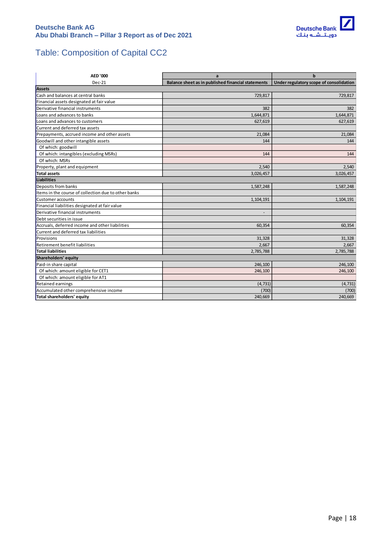

# <span id="page-17-0"></span>Table: Composition of Capital CC2

| <b>AED '000</b>                                      | a                                                  | $\mathbf b$                             |
|------------------------------------------------------|----------------------------------------------------|-----------------------------------------|
| $Dec-21$                                             | Balance sheet as in published financial statements | Under regulatory scope of consolidation |
| <b>Assets</b>                                        |                                                    |                                         |
| Cash and balances at central banks                   | 729,817                                            | 729,817                                 |
| Financial assets designated at fair value            |                                                    |                                         |
| Derivative financial instruments                     | 382                                                | 382                                     |
| Loans and advances to banks                          | 1,644,871                                          | 1,644,871                               |
| Loans and advances to customers                      | 627,619                                            | 627,619                                 |
| Current and deferred tax assets                      |                                                    |                                         |
| Prepayments, accrued income and other assets         | 21,084                                             | 21,084                                  |
| Goodwill and other intangible assets                 | 144                                                | 144                                     |
| Of which: goodwill                                   |                                                    |                                         |
| Of which: intangibles (excluding MSRs)               | 144                                                | 144                                     |
| Of which: MSRs                                       |                                                    |                                         |
| Property, plant and equipment                        | 2,540                                              | 2,540                                   |
| <b>Total assets</b>                                  | 3,026,457                                          | 3,026,457                               |
| Liabilities                                          |                                                    |                                         |
| Deposits from banks                                  | 1,587,248                                          | 1,587,248                               |
| Items in the course of collection due to other banks |                                                    |                                         |
| Customer accounts                                    | 1,104,191                                          | 1,104,191                               |
| Financial liabilities designated at fair value       |                                                    |                                         |
| Derivative financial instruments                     |                                                    |                                         |
| Debt securities in issue                             |                                                    |                                         |
| Accruals, deferred income and other liabilities      | 60,354                                             | 60,354                                  |
| Current and deferred tax liabilities                 |                                                    |                                         |
| Provisions                                           | 31,328                                             | 31,328                                  |
| Retirement benefit liabilities                       | 2,667                                              | 2,667                                   |
| Total liabilities                                    | 2,785,788                                          | 2,785,788                               |
| Shareholders' equity                                 |                                                    |                                         |
| Paid-in share capital                                | 246,100                                            | 246,100                                 |
| Of which: amount eligible for CET1                   | 246,100                                            | 246,100                                 |
| Of which: amount eligible for AT1                    |                                                    |                                         |
| <b>Retained earnings</b>                             | (4, 731)                                           | (4, 731)                                |
| Accumulated other comprehensive income               | (700)                                              | (700)                                   |
| Total shareholders' equity                           | 240,669                                            | 240,669                                 |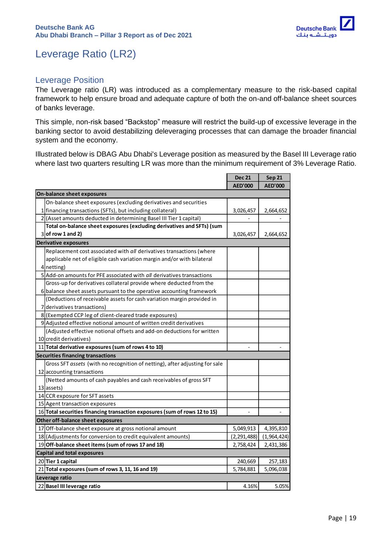

# <span id="page-18-0"></span>Leverage Ratio (LR2)

### <span id="page-18-1"></span>Leverage Position

The Leverage ratio (LR) was introduced as a complementary measure to the risk-based capital framework to help ensure broad and adequate capture of both the on-and off-balance sheet sources of banks leverage.

This simple, non-risk based "Backstop" measure will restrict the build-up of excessive leverage in the banking sector to avoid destabilizing deleveraging processes that can damage the broader financial system and the economy.

Illustrated below is DBAG Abu Dhabi's Leverage position as measured by the Basel III Leverage ratio where last two quarters resulting LR was more than the minimum requirement of 3% Leverage Ratio.

|                                                                             | <b>Dec 21</b>  | <b>Sep 21</b>  |
|-----------------------------------------------------------------------------|----------------|----------------|
|                                                                             | <b>AED'000</b> | <b>AED'000</b> |
| On-balance sheet exposures                                                  |                |                |
| On-balance sheet exposures (excluding derivatives and securities            |                |                |
| 1 financing transactions (SFTs), but including collateral)                  | 3,026,457      | 2,664,652      |
| 2 (Asset amounts deducted in determining Basel III Tier 1 capital)          |                |                |
| Total on-balance sheet exposures (excluding derivatives and SFTs) (sum      |                |                |
| $3$ of row 1 and 2)                                                         | 3,026,457      | 2,664,652      |
| <b>Derivative exposures</b>                                                 |                |                |
| Replacement cost associated with all derivatives transactions (where        |                |                |
| applicable net of eligible cash variation margin and/or with bilateral      |                |                |
| 4 netting)                                                                  |                |                |
| 5 Add-on amounts for PFE associated with all derivatives transactions       |                |                |
| Gross-up for derivatives collateral provide where deducted from the         |                |                |
| 6 balance sheet assets pursuant to the operative accounting framework       |                |                |
| (Deductions of receivable assets for cash variation margin provided in      |                |                |
| 7 derivatives transactions)                                                 |                |                |
| 8 (Exempted CCP leg of client-cleared trade exposures)                      |                |                |
| 9 Adjusted effective notional amount of written credit derivatives          |                |                |
| (Adjusted effective notional offsets and add-on deductions for written      |                |                |
| 10 credit derivatives)                                                      |                |                |
| 11 Total derivative exposures (sum of rows 4 to 10)                         |                |                |
| <b>Securities financing transactions</b>                                    |                |                |
| Gross SFT assets (with no recognition of netting), after adjusting for sale |                |                |
| 12 accounting transactions                                                  |                |                |
| (Netted amounts of cash payables and cash receivables of gross SFT          |                |                |
| 13 assets)                                                                  |                |                |
| 14 CCR exposure for SFT assets                                              |                |                |
| 15 Agent transaction exposures                                              |                |                |
| 16 Total securities financing transaction exposures (sum of rows 12 to 15)  |                |                |
| Other off-balance sheet exposures                                           |                |                |
| 17 Off-balance sheet exposure at gross notional amount                      | 5,049,913      | 4,395,810      |
| 18 (Adjustments for conversion to credit equivalent amounts)                | (2, 291, 488)  | (1,964,424)    |
| 19 Off-balance sheet items (sum of rows 17 and 18)                          | 2,758,424      | 2,431,386      |
| <b>Capital and total exposures</b>                                          |                |                |
| 20 Tier 1 capital                                                           | 240,669        | 257,183        |
| 21 Total exposures (sum of rows 3, 11, 16 and 19)                           | 5,784,881      | 5,096,038      |
| Leverage ratio                                                              |                |                |
| 22 Basel III leverage ratio                                                 | 4.16%          | 5.05%          |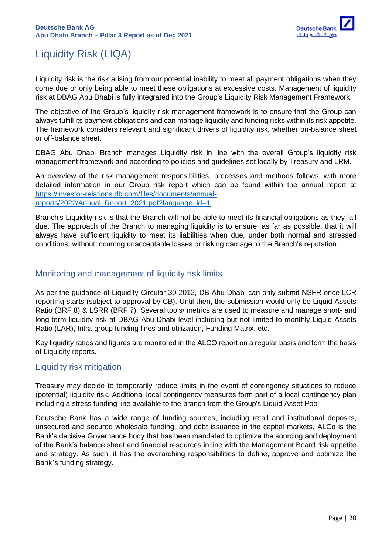

# <span id="page-19-0"></span>Liquidity Risk (LIQA)

Liquidity risk is the risk arising from our potential inability to meet all payment obligations when they come due or only being able to meet these obligations at excessive costs. Management of liquidity risk at DBAG Abu Dhabi is fully integrated into the Group's Liquidity Risk Management Framework.

The objective of the Group's liquidity risk management framework is to ensure that the Group can always fulfill its payment obligations and can manage liquidity and funding risks within its risk appetite. The framework considers relevant and significant drivers of liquidity risk, whether on-balance sheet or off-balance sheet.

DBAG Abu Dhabi Branch manages Liquidity risk in line with the overall Group's liquidity risk management framework and according to policies and guidelines set locally by Treasury and LRM.

An overview of the risk management responsibilities, processes and methods follows, with more detailed information in our Group risk report which can be found within the annual report at [https://investor-relations.db.com/files/documents/annual](https://investor-relations.db.com/files/documents/annual-reports/2022/Annual_Report_2021.pdf?language_id=1)[reports/2022/Annual\\_Report\\_2021.pdf?language\\_id=1](https://investor-relations.db.com/files/documents/annual-reports/2022/Annual_Report_2021.pdf?language_id=1)

Branch's Liquidity risk is that the Branch will not be able to meet its financial obligations as they fall due. The approach of the Branch to managing liquidity is to ensure, as far as possible, that it will always have sufficient liquidity to meet its liabilities when due, under both normal and stressed conditions, without incurring unacceptable losses or risking damage to the Branch's reputation.

#### <span id="page-19-1"></span>Monitoring and management of liquidity risk limits

As per the guidance of Liquidity Circular 30-2012, DB Abu Dhabi can only submit NSFR once LCR reporting starts (subject to approval by CB). Until then, the submission would only be Liquid Assets Ratio (BRF 8) & LSRR (BRF 7). Several tools/ metrics are used to measure and manage short- and long-term liquidity risk at DBAG Abu Dhabi level including but not limited to monthly Liquid Assets Ratio (LAR), Intra-group funding lines and utilization, Funding Matrix, etc.

Key liquidity ratios and figures are monitored in the ALCO report on a regular basis and form the basis of Liquidity reports.

### <span id="page-19-2"></span>Liquidity risk mitigation

Treasury may decide to temporarily reduce limits in the event of contingency situations to reduce (potential) liquidity risk. Additional local contingency measures form part of a local contingency plan including a stress funding line available to the branch from the Group's Liquid Asset Pool.

Deutsche Bank has a wide range of funding sources, including retail and institutional deposits, unsecured and secured wholesale funding, and debt issuance in the capital markets. ALCo is the Bank's decisive Governance body that has been mandated to optimize the sourcing and deployment of the Bank's balance sheet and financial resources in line with the Management Board risk appetite and strategy. As such, it has the overarching responsibilities to define, approve and optimize the Bank`s funding strategy.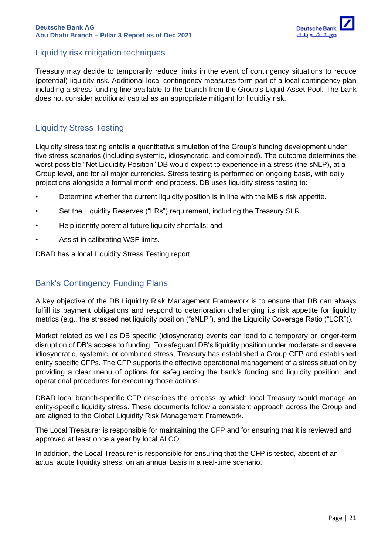

### <span id="page-20-0"></span>Liquidity risk mitigation techniques

Treasury may decide to temporarily reduce limits in the event of contingency situations to reduce (potential) liquidity risk. Additional local contingency measures form part of a local contingency plan including a stress funding line available to the branch from the Group's Liquid Asset Pool. The bank does not consider additional capital as an appropriate mitigant for liquidity risk.

### <span id="page-20-1"></span>Liquidity Stress Testing

Liquidity stress testing entails a quantitative simulation of the Group's funding development under five stress scenarios (including systemic, idiosyncratic, and combined). The outcome determines the worst possible "Net Liquidity Position" DB would expect to experience in a stress (the sNLP), at a Group level, and for all major currencies. Stress testing is performed on ongoing basis, with daily projections alongside a formal month end process. DB uses liquidity stress testing to:

- Determine whether the current liquidity position is in line with the MB's risk appetite.
- Set the Liquidity Reserves ("LRs") requirement, including the Treasury SLR.
- Help identify potential future liquidity shortfalls; and
- Assist in calibrating WSF limits.

DBAD has a local Liquidity Stress Testing report.

### <span id="page-20-2"></span>Bank's Contingency Funding Plans

A key objective of the DB Liquidity Risk Management Framework is to ensure that DB can always fulfill its payment obligations and respond to deterioration challenging its risk appetite for liquidity metrics (e.g., the stressed net liquidity position ("sNLP"), and the Liquidity Coverage Ratio ("LCR")).

Market related as well as DB specific (idiosyncratic) events can lead to a temporary or longer-term disruption of DB's access to funding. To safeguard DB's liquidity position under moderate and severe idiosyncratic, systemic, or combined stress, Treasury has established a Group CFP and established entity specific CFPs. The CFP supports the effective operational management of a stress situation by providing a clear menu of options for safeguarding the bank's funding and liquidity position, and operational procedures for executing those actions.

DBAD local branch-specific CFP describes the process by which local Treasury would manage an entity-specific liquidity stress. These documents follow a consistent approach across the Group and are aligned to the Global Liquidity Risk Management Framework.

The Local Treasurer is responsible for maintaining the CFP and for ensuring that it is reviewed and approved at least once a year by local ALCO.

In addition, the Local Treasurer is responsible for ensuring that the CFP is tested, absent of an actual acute liquidity stress, on an annual basis in a real-time scenario.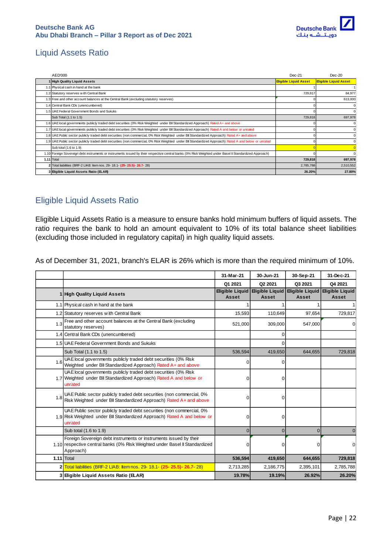

# <span id="page-21-0"></span>Liquid Assets Ratio

| AED'000                                                                                                                                                 | $Dec-21$                     | $Dec-20$                     |
|---------------------------------------------------------------------------------------------------------------------------------------------------------|------------------------------|------------------------------|
| High Quality Liquid Assets                                                                                                                              | <b>Eligible Liquid Asset</b> | <b>Eligible Liquid Asset</b> |
| 1.1 Physical cash in hand at the bank                                                                                                                   |                              |                              |
| 1.2 Statutory reserves with Central Bank                                                                                                                | 729,817                      | 84,977                       |
| 1.3 Free and other account balances at the Central Bank (excluding statutory reserves)                                                                  |                              | 613,000                      |
| 1.4 Central Bank CDs (unencumbered)                                                                                                                     |                              | $\mathbf 0$                  |
| 1.5 UAE Federal Government Bonds and Sukuks                                                                                                             |                              | $\mathbf 0$                  |
| Sub Total (1.1 to 1.5)                                                                                                                                  | 729,818                      | 697,978                      |
| 1.6 UAE local governments publicly traded debt securities (0% Risk Weighted under Bll Standardized Approach) Rated A+ and above                         |                              | $\mathbf 0$                  |
| 1.7 UAE local governments publicly traded debt securities (0% Risk Weighted under BII Standardized Approach) Rated A and below or unrated               |                              | $\mathbf 0$                  |
| 1.8 UAE Public sector publicly traded debt securities (non commercial, 0% Risk Weighted under Bl Standardized Approach) Rated A+ and above              |                              | 0                            |
| 1.9   UAE Public sector publicly traded debt securities (non commercial, 0% Risk Weighted under BII Standardized Approach) Rated A and below or unrated |                              | $\mathbf 0$                  |
| Sub total (1.6 to 1.9)                                                                                                                                  |                              |                              |
| 1.10 Foreign Sovereign debt instruments or instruments issued by their respective central banks (0% Risk Weighted under Basel II Standardized Approach) |                              | $\Omega$                     |
| $1.11$ Total                                                                                                                                            | 729,818                      | 697,978                      |
| 2 Total liabilities (BRF-2 LIAB: Item nos. 29- 18.1- (25- 25.5)- 26.7- 28)                                                                              | 2,785,788                    | 2,510,552                    |
| 3 Eligible Liquid Assets Ratio (ELAR)                                                                                                                   | 26.20%                       | 27.80%                       |

### <span id="page-21-1"></span>Eligible Liquid Assets Ratio

Eligible Liquid Assets Ratio is a measure to ensure banks hold minimum buffers of liquid assets. The ratio requires the bank to hold an amount equivalent to 10% of its total balance sheet liabilities (excluding those included in regulatory capital) in high quality liquid assets.

As of December 31, 2021, branch's ELAR is 26% which is more than the required minimum of 10%.

|     |                                                                                                                                                               | 31-Mar-21                       | 30-Jun-21                       | 30-Sep-21                       | 31-Dec-21                       |
|-----|---------------------------------------------------------------------------------------------------------------------------------------------------------------|---------------------------------|---------------------------------|---------------------------------|---------------------------------|
|     |                                                                                                                                                               | Q1 2021                         | Q2 2021                         | Q3 2021                         | Q4 2021                         |
|     | 1 High Quality Liguid Assets                                                                                                                                  | <b>Eligible Liquid</b><br>Asset | <b>Eligible Liguid</b><br>Asset | <b>Eligible Liquid</b><br>Asset | <b>Eligible Liguid</b><br>Asset |
|     | 1.1 Physical cash in hand at the bank                                                                                                                         |                                 |                                 |                                 |                                 |
|     | 1.2 Statutory reserves with Central Bank                                                                                                                      | 15,593                          | 110,649                         | 97,654                          | 729,817                         |
| 1.3 | Free and other account balances at the Central Bank (excluding<br>statutory reserves)                                                                         | 521,000                         | 309,000                         | 547,000                         | $\Omega$                        |
|     | 1.4 Central Bank CDs (unencumbered)                                                                                                                           |                                 | $\Omega$                        |                                 |                                 |
|     | 1.5 UAE Federal Government Bonds and Sukuks                                                                                                                   |                                 | 0                               |                                 |                                 |
|     | Sub Total (1.1 to 1.5)                                                                                                                                        | 536,594                         | 419,650                         | 644,655                         | 729,818                         |
| 1.6 | UAE local governments publicly traded debt securities (0% Risk<br>Weighted under Bll Standardized Approach) Rated A+ and above                                | O                               | $\Omega$                        |                                 |                                 |
|     | UAE local governments publicly traded debt securities (0% Risk<br>1.7 Weighted under Bll Standardized Approach) Rated A and below or<br>unrated               | 0                               | 0                               |                                 |                                 |
|     | UAE Public sector publicly traded debt securities (non commercial, 0%<br>1.8 Risk Weighted under BII Standardized Approach) Rated A+ and above                | 0                               | 0                               |                                 |                                 |
|     | UAE Public sector publicly traded debt securities (non commercial, 0%<br>1.9 Risk Weighted under Bll Standardized Approach) Rated A and below or<br>unrated   | O                               | 0                               |                                 |                                 |
|     | Sub total (1.6 to 1.9)                                                                                                                                        | $\Omega$                        | $\Omega$                        | $\Omega$                        | 0                               |
|     | Foreign Sovereign debt instruments or instruments issued by their<br>1.10 respective central banks (0% Risk Weighted under Basel II Standardized<br>Approach) | O                               | 0                               | 0                               | $\Omega$                        |
|     | $1.11$ Total                                                                                                                                                  | 536,594                         | 419,650                         | 644,655                         | 729,818                         |
|     | 2 Total liabilities (BRF-2 LIAB: Item nos. 29- 18.1- (25- 25.5)- 26.7- 28)                                                                                    | 2,713,285                       | 2,186,775                       | 2,395,101                       | 2,785,788                       |
|     | 3 Eigible Liquid Assets Ratio (ELAR)                                                                                                                          | 19.78%                          | 19.19%                          | 26.92%                          | 26.20%                          |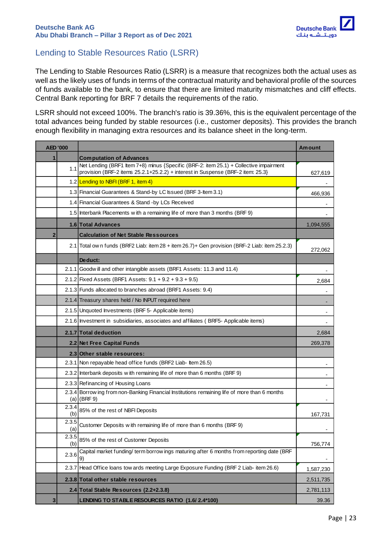

### <span id="page-22-0"></span>Lending to Stable Resources Ratio (LSRR)

The Lending to Stable Resources Ratio (LSRR) is a measure that recognizes both the actual uses as well as the likely uses of funds in terms of the contractual maturity and behavioral profile of the sources of funds available to the bank, to ensure that there are limited maturity mismatches and cliff effects. Central Bank reporting for BRF 7 details the requirements of the ratio.

LSRR should not exceed 100%. The branch's ratio is 39.36%, this is the equivalent percentage of the total advances being funded by stable resources (i.e., customer deposits). This provides the branch enough flexibility in managing extra resources and its balance sheet in the long-term.

| AED '000    |                                                      |                                                                                                                                                                           | <b>Amount</b> |  |  |
|-------------|------------------------------------------------------|---------------------------------------------------------------------------------------------------------------------------------------------------------------------------|---------------|--|--|
| 1           |                                                      | <b>Computation of Advances</b>                                                                                                                                            |               |  |  |
|             | 1.1                                                  | Net Lending (BRF1 Item 7+8) minus {Specific (BRF-2: item 25.1) + Collective impairment<br>provision (BRF-2 items 25.2.1+25.2.2) + interest in Suspense (BRF-2 item: 25.3} | 627,619       |  |  |
|             |                                                      | 1.2 Lending to NBFI (BRF 1, item 4)                                                                                                                                       |               |  |  |
|             |                                                      | 1.3 Financial Guarantees & Stand-by LC Issued (BRF 3-Item 3.1)                                                                                                            | 466,936       |  |  |
|             |                                                      | 1.4 Financial Guarantees & Stand -by LCs Received                                                                                                                         |               |  |  |
|             |                                                      | 1.5 Interbank Placements with a remaining life of more than 3 months (BRF 9)                                                                                              |               |  |  |
|             |                                                      | 1.6 Total Advances                                                                                                                                                        | 1,094,555     |  |  |
| $\mathbf 2$ |                                                      | <b>Calculation of Net Stable Ressources</b>                                                                                                                               |               |  |  |
|             |                                                      | 2.1 Total ow n funds (BRF2 Liab: item 28 + item 26.7) + Gen provision (BRF-2 Liab: item 25.2.3)                                                                           | 272,062       |  |  |
|             |                                                      | Deduct:                                                                                                                                                                   |               |  |  |
|             |                                                      | 2.1.1 Goodwill and other intangible assets (BRF1 Assets: 11.3 and 11.4)                                                                                                   |               |  |  |
|             |                                                      | 2.1.2 Fixed Assets (BRF1 Assets: $9.1 + 9.2 + 9.3 + 9.5$ )                                                                                                                | 2,684         |  |  |
|             |                                                      | 2.1.3 Funds allocated to branches abroad (BRF1 Assets: 9.4)                                                                                                               |               |  |  |
|             |                                                      | 2.1.4 Treasury shares held / No INPUT required here                                                                                                                       |               |  |  |
|             |                                                      | 2.1.5 Unquoted Investments (BRF 5- Applicable items)                                                                                                                      |               |  |  |
|             |                                                      | 2.1.6 Investment in subsidiaries, associates and affiliates (BRF5-Applicable items)                                                                                       |               |  |  |
|             |                                                      | 2.1.7 Total deduction                                                                                                                                                     |               |  |  |
|             |                                                      | 2.2 Net Free Capital Funds                                                                                                                                                | 269,378       |  |  |
|             |                                                      | 2.3 Other stable resources:                                                                                                                                               |               |  |  |
|             |                                                      | 2.3.1 Non repayable head office funds (BRF2 Liab- Item 26.5)                                                                                                              |               |  |  |
|             |                                                      | 2.3.2 Interbank deposits with remaining life of more than 6 months (BRF 9)                                                                                                |               |  |  |
|             |                                                      | 2.3.3 Refinancing of Housing Loans                                                                                                                                        |               |  |  |
|             | 2.3.4                                                | Borrow ing from non-Banking Financial Institutions remaining life of more than 6 months<br>$(a)$ (BRF 9)                                                                  |               |  |  |
|             | 2.3.4<br>(b)                                         | 85% of the rest of NBFI Deposits                                                                                                                                          | 167,731       |  |  |
|             | 2.3.5<br>(a)                                         | Customer Deposits with remaining life of more than 6 months (BRF 9)                                                                                                       |               |  |  |
|             | 2.3.5<br>85% of the rest of Customer Deposits<br>(b) |                                                                                                                                                                           | 756,774       |  |  |
|             | 2.3.6                                                | Capital market funding/ term borrow ings maturing after 6 months from reporting date (BRF<br>9)                                                                           |               |  |  |
|             | 2.3.7                                                | Head Office loans tow ards meeting Large Exposure Funding (BRF 2 Liab- item 26.6)                                                                                         | 1,587,230     |  |  |
|             |                                                      | 2.3.8 Total other stable resources                                                                                                                                        | 2,511,735     |  |  |
|             |                                                      | 2.4 Total Stable Resources (2.2+2.3.8)                                                                                                                                    | 2,781,113     |  |  |
| 3           |                                                      | LENDING TO STABLE RESOURCES RATIO (1.6/2.4*100)                                                                                                                           | 39.36         |  |  |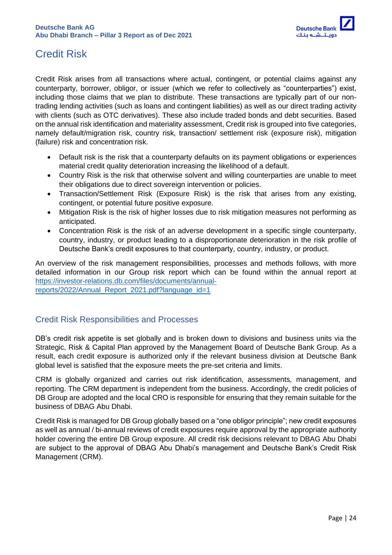

# <span id="page-23-0"></span>Credit Risk

Credit Risk arises from all transactions where actual, contingent, or potential claims against any counterparty, borrower, obligor, or issuer (which we refer to collectively as "counterparties") exist, including those claims that we plan to distribute. These transactions are typically part of our nontrading lending activities (such as loans and contingent liabilities) as well as our direct trading activity with clients (such as OTC derivatives). These also include traded bonds and debt securities. Based on the annual risk identification and materiality assessment, Credit risk is grouped into five categories, namely default/migration risk, country risk, transaction/ settlement risk (exposure risk), mitigation (failure) risk and concentration risk.

- Default risk is the risk that a counterparty defaults on its payment obligations or experiences material credit quality deterioration increasing the likelihood of a default.
- Country Risk is the risk that otherwise solvent and willing counterparties are unable to meet their obligations due to direct sovereign intervention or policies.
- Transaction/Settlement Risk (Exposure Risk) is the risk that arises from any existing, contingent, or potential future positive exposure.
- Mitigation Risk is the risk of higher losses due to risk mitigation measures not performing as anticipated.
- Concentration Risk is the risk of an adverse development in a specific single counterparty, country, industry, or product leading to a disproportionate deterioration in the risk profile of Deutsche Bank's credit exposures to that counterparty, country, industry, or product.

An overview of the risk management responsibilities, processes and methods follows, with more detailed information in our Group risk report which can be found within the annual report at [https://investor-relations.db.com/files/documents/annual](https://investor-relations.db.com/files/documents/annual-reports/2022/Annual_Report_2021.pdf?language_id=1)[reports/2022/Annual\\_Report\\_2021.pdf?language\\_id=1](https://investor-relations.db.com/files/documents/annual-reports/2022/Annual_Report_2021.pdf?language_id=1)

### <span id="page-23-1"></span>Credit Risk Responsibilities and Processes

DB's credit risk appetite is set globally and is broken down to divisions and business units via the Strategic, Risk & Capital Plan approved by the Management Board of Deutsche Bank Group. As a result, each credit exposure is authorized only if the relevant business division at Deutsche Bank global level is satisfied that the exposure meets the pre-set criteria and limits.

CRM is globally organized and carries out risk identification, assessments, management, and reporting. The CRM department is independent from the business. Accordingly, the credit policies of DB Group are adopted and the local CRO is responsible for ensuring that they remain suitable for the business of DBAG Abu Dhabi.

Credit Risk is managed for DB Group globally based on a "one obligor principle"; new credit exposures as well as annual / bi-annual reviews of credit exposures require approval by the appropriate authority holder covering the entire DB Group exposure. All credit risk decisions relevant to DBAG Abu Dhabi are subject to the approval of DBAG Abu Dhabi's management and Deutsche Bank's Credit Risk Management (CRM).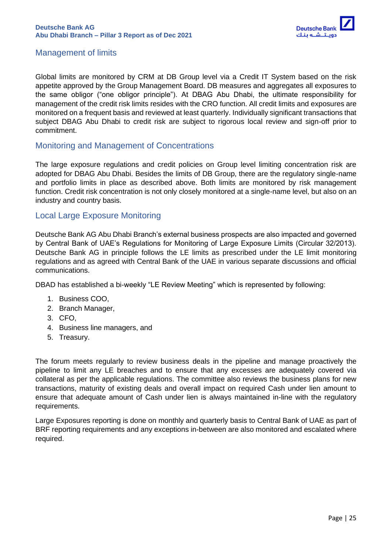

### <span id="page-24-0"></span>Management of limits

Global limits are monitored by CRM at DB Group level via a Credit IT System based on the risk appetite approved by the Group Management Board. DB measures and aggregates all exposures to the same obligor ("one obligor principle"). At DBAG Abu Dhabi, the ultimate responsibility for management of the credit risk limits resides with the CRO function. All credit limits and exposures are monitored on a frequent basis and reviewed at least quarterly. Individually significant transactions that subject DBAG Abu Dhabi to credit risk are subject to rigorous local review and sign-off prior to commitment.

### <span id="page-24-1"></span>Monitoring and Management of Concentrations

The large exposure regulations and credit policies on Group level limiting concentration risk are adopted for DBAG Abu Dhabi. Besides the limits of DB Group, there are the regulatory single-name and portfolio limits in place as described above. Both limits are monitored by risk management function. Credit risk concentration is not only closely monitored at a single-name level, but also on an industry and country basis.

### <span id="page-24-2"></span>Local Large Exposure Monitoring

Deutsche Bank AG Abu Dhabi Branch's external business prospects are also impacted and governed by Central Bank of UAE's Regulations for Monitoring of Large Exposure Limits (Circular 32/2013). Deutsche Bank AG in principle follows the LE limits as prescribed under the LE limit monitoring regulations and as agreed with Central Bank of the UAE in various separate discussions and official communications.

DBAD has established a bi-weekly "LE Review Meeting" which is represented by following:

- 1. Business COO,
- 2. Branch Manager,
- 3. CFO,
- 4. Business line managers, and
- 5. Treasury.

The forum meets regularly to review business deals in the pipeline and manage proactively the pipeline to limit any LE breaches and to ensure that any excesses are adequately covered via collateral as per the applicable regulations. The committee also reviews the business plans for new transactions, maturity of existing deals and overall impact on required Cash under lien amount to ensure that adequate amount of Cash under lien is always maintained in-line with the regulatory requirements.

Large Exposures reporting is done on monthly and quarterly basis to Central Bank of UAE as part of BRF reporting requirements and any exceptions in-between are also monitored and escalated where required.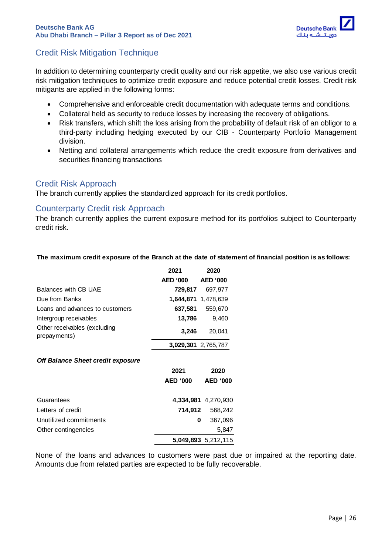

### <span id="page-25-0"></span>Credit Risk Mitigation Technique

In addition to determining counterparty credit quality and our risk appetite, we also use various credit risk mitigation techniques to optimize credit exposure and reduce potential credit losses. Credit risk mitigants are applied in the following forms:

- Comprehensive and enforceable credit documentation with adequate terms and conditions.
- Collateral held as security to reduce losses by increasing the recovery of obligations.
- Risk transfers, which shift the loss arising from the probability of default risk of an obligor to a third-party including hedging executed by our CIB - Counterparty Portfolio Management division.
- Netting and collateral arrangements which reduce the credit exposure from derivatives and securities financing transactions

### <span id="page-25-1"></span>Credit Risk Approach

The branch currently applies the standardized approach for its credit portfolios.

#### <span id="page-25-2"></span>Counterparty Credit risk Approach

The branch currently applies the current exposure method for its portfolios subject to Counterparty credit risk.

#### **The maximum credit exposure of the Branch at the date of statement of financial position is as follows:**

|                                              | 2021            | 2020                |
|----------------------------------------------|-----------------|---------------------|
|                                              | <b>AED '000</b> | <b>AED '000</b>     |
| Balances with CB UAE                         | 729,817         | 697,977             |
| Due from Banks                               |                 | 1,644,871 1,478,639 |
| Loans and advances to customers              | 637,581         | 559,670             |
| Intergroup receivables                       | 13,786          | 9,460               |
| Other receivables (excluding<br>prepayments) | 3.246           | 20.041              |
|                                              |                 | 3,029,301 2,765,787 |

#### *Off Balance Sheet credit exposure*

|                        | 2021                | 2020            |
|------------------------|---------------------|-----------------|
|                        | <b>AED '000</b>     | <b>AED '000</b> |
| Guarantees             | 4,334,981 4,270,930 |                 |
| Letters of credit      | 714.912             | 568,242         |
| Unutilized commitments | 0                   | 367,096         |
| Other contingencies    |                     | 5.847           |
|                        | 5,049,893 5,212,115 |                 |

None of the loans and advances to customers were past due or impaired at the reporting date. Amounts due from related parties are expected to be fully recoverable.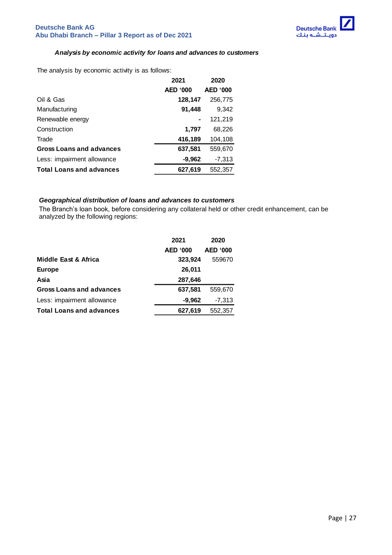

#### *Analysis by economic activity for loans and advances to customers*

The analysis by economic activity is as follows:

|                                 | 2021            | 2020            |
|---------------------------------|-----------------|-----------------|
|                                 | <b>AED '000</b> | <b>AED '000</b> |
| Oil & Gas                       | 128,147         | 256,775         |
| Manufacturing                   | 91,448          | 9,342           |
| Renewable energy                |                 | 121,219         |
| Construction                    | 1,797           | 68,226          |
| Trade                           | 416,189         | 104,108         |
| <b>Gross Loans and advances</b> | 637,581         | 559,670         |
| Less: impairment allowance      | $-9,962$        | $-7,313$        |
| <b>Total Loans and advances</b> | 627,619         | 552,357         |
|                                 |                 |                 |

#### *Geographical distribution of loans and advances to customers*

The Branch's loan book, before considering any collateral held or other credit enhancement, can be analyzed by the following regions:

|                                 | 2021            | 2020            |
|---------------------------------|-----------------|-----------------|
|                                 | <b>AED '000</b> | <b>AED '000</b> |
| Middle East & Africa            | 323,924         | 559670          |
| <b>Europe</b>                   | 26,011          |                 |
| Asia                            | 287,646         |                 |
| <b>Gross Loans and advances</b> | 637,581         | 559,670         |
| Less: impairment allowance      | $-9,962$        | $-7,313$        |
| <b>Total Loans and advances</b> | 627,619         | 552,357         |
|                                 |                 |                 |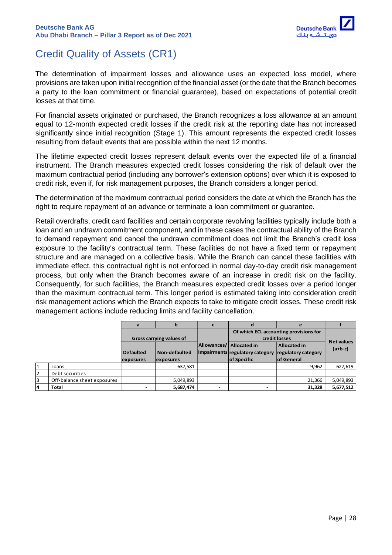

# <span id="page-27-0"></span>Credit Quality of Assets (CR1)

The determination of impairment losses and allowance uses an expected loss model, where provisions are taken upon initial recognition of the financial asset (or the date that the Branch becomes a party to the loan commitment or financial guarantee), based on expectations of potential credit losses at that time.

For financial assets originated or purchased, the Branch recognizes a loss allowance at an amount equal to 12-month expected credit losses if the credit risk at the reporting date has not increased significantly since initial recognition (Stage 1). This amount represents the expected credit losses resulting from default events that are possible within the next 12 months.

The lifetime expected credit losses represent default events over the expected life of a financial instrument. The Branch measures expected credit losses considering the risk of default over the maximum contractual period (including any borrower's extension options) over which it is exposed to credit risk, even if, for risk management purposes, the Branch considers a longer period.

The determination of the maximum contractual period considers the date at which the Branch has the right to require repayment of an advance or terminate a loan commitment or guarantee.

Retail overdrafts, credit card facilities and certain corporate revolving facilities typically include both a loan and an undrawn commitment component, and in these cases the contractual ability of the Branch to demand repayment and cancel the undrawn commitment does not limit the Branch's credit loss exposure to the facility's contractual term. These facilities do not have a fixed term or repayment structure and are managed on a collective basis. While the Branch can cancel these facilities with immediate effect, this contractual right is not enforced in normal day-to-day credit risk management process, but only when the Branch becomes aware of an increase in credit risk on the facility. Consequently, for such facilities, the Branch measures expected credit losses over a period longer than the maximum contractual term. This longer period is estimated taking into consideration credit risk management actions which the Branch expects to take to mitigate credit losses. These credit risk management actions include reducing limits and facility cancellation.

|              |                             |                          | b                 |                          |                                 |                                        |           |
|--------------|-----------------------------|--------------------------|-------------------|--------------------------|---------------------------------|----------------------------------------|-----------|
|              |                             |                          |                   |                          |                                 | Of which ECL accounting provisions for |           |
|              |                             | Gross carrying values of |                   |                          | credit losses                   | <b>Net values</b>                      |           |
|              |                             |                          |                   | Allowances/ Allocated in |                                 | <b>Allocated in</b>                    | $(a+b-c)$ |
|              |                             | <b>Defaulted</b>         | Non-defaulted     |                          | Impairments regulatory category | regulatory category                    |           |
|              |                             | exposures                | <b>lexposures</b> |                          | of Specific                     | lof General                            |           |
| $\mathbf{1}$ | Loans                       |                          | 637,581           |                          |                                 | 9.962                                  | 627,619   |
| 12           | Debt securities             |                          |                   |                          |                                 |                                        |           |
| 3            | Off-balance sheet exposures |                          | 5,049,893         |                          |                                 | 21,366                                 | 5,049,893 |
| 14           | <b>Total</b>                |                          | 5,687,474         |                          | ۰                               | 31,328                                 | 5,677,512 |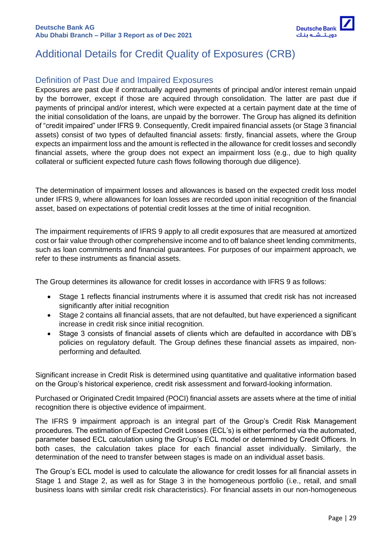

# <span id="page-28-0"></span>Additional Details for Credit Quality of Exposures (CRB)

### <span id="page-28-1"></span>Definition of Past Due and Impaired Exposures

Exposures are past due if contractually agreed payments of principal and/or interest remain unpaid by the borrower, except if those are acquired through consolidation. The latter are past due if payments of principal and/or interest, which were expected at a certain payment date at the time of the initial consolidation of the loans, are unpaid by the borrower. The Group has aligned its definition of "credit impaired" under IFRS 9. Consequently, Credit impaired financial assets (or Stage 3 financial assets) consist of two types of defaulted financial assets: firstly, financial assets, where the Group expects an impairment loss and the amount is reflected in the allowance for credit losses and secondly financial assets, where the group does not expect an impairment loss (e.g., due to high quality collateral or sufficient expected future cash flows following thorough due diligence).

The determination of impairment losses and allowances is based on the expected credit loss model under IFRS 9, where allowances for loan losses are recorded upon initial recognition of the financial asset, based on expectations of potential credit losses at the time of initial recognition.

The impairment requirements of IFRS 9 apply to all credit exposures that are measured at amortized cost or fair value through other comprehensive income and to off balance sheet lending commitments, such as loan commitments and financial guarantees. For purposes of our impairment approach, we refer to these instruments as financial assets.

The Group determines its allowance for credit losses in accordance with IFRS 9 as follows:

- Stage 1 reflects financial instruments where it is assumed that credit risk has not increased significantly after initial recognition
- Stage 2 contains all financial assets, that are not defaulted, but have experienced a significant increase in credit risk since initial recognition.
- Stage 3 consists of financial assets of clients which are defaulted in accordance with DB's policies on regulatory default. The Group defines these financial assets as impaired, nonperforming and defaulted.

Significant increase in Credit Risk is determined using quantitative and qualitative information based on the Group's historical experience, credit risk assessment and forward-looking information.

Purchased or Originated Credit Impaired (POCI) financial assets are assets where at the time of initial recognition there is objective evidence of impairment.

The IFRS 9 impairment approach is an integral part of the Group's Credit Risk Management procedures. The estimation of Expected Credit Losses (ECL's) is either performed via the automated, parameter based ECL calculation using the Group's ECL model or determined by Credit Officers. In both cases, the calculation takes place for each financial asset individually. Similarly, the determination of the need to transfer between stages is made on an individual asset basis.

The Group's ECL model is used to calculate the allowance for credit losses for all financial assets in Stage 1 and Stage 2, as well as for Stage 3 in the homogeneous portfolio (i.e., retail, and small business loans with similar credit risk characteristics). For financial assets in our non-homogeneous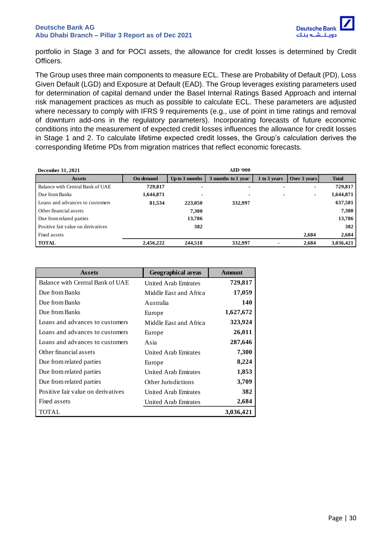

portfolio in Stage 3 and for POCI assets, the allowance for credit losses is determined by Credit Officers.

The Group uses three main components to measure ECL. These are Probability of Default (PD), Loss Given Default (LGD) and Exposure at Default (EAD). The Group leverages existing parameters used for determination of capital demand under the Basel Internal Ratings Based Approach and internal risk management practices as much as possible to calculate ECL. These parameters are adjusted where necessary to comply with IFRS 9 requirements (e.g., use of point in time ratings and removal of downturn add-ons in the regulatory parameters). Incorporating forecasts of future economic conditions into the measurement of expected credit losses influences the allowance for credit losses in Stage 1 and 2. To calculate lifetime expected credit losses, the Group's calculation derives the corresponding lifetime PDs from migration matrices that reflect economic forecasts.

| December 31, 2021                  |                  |                | <b>AED '000</b>    |              |                |              |
|------------------------------------|------------------|----------------|--------------------|--------------|----------------|--------------|
| <b>Assets</b>                      | <b>On demand</b> | Up to 3 months | 3 months to 1 year | 1 to 3 years | Over 3 years   | <b>Total</b> |
| Balance with Central Bank of UAE   | 729,817          | $\blacksquare$ |                    |              |                | 729,817      |
| Due from Banks                     | 1,644,871        | -              |                    |              | $\blacksquare$ | 1,644,871    |
| Loans and advances to customers    | 81,534           | 223,050        | 332,997            |              |                | 637,581      |
| Other financial assets             |                  | 7.300          |                    |              |                | 7,300        |
| Due from related parties           |                  | 13,786         |                    |              |                | 13,786       |
| Positive fair value on derivatives |                  | 382            |                    |              |                | 382          |
| Fixed assets                       |                  |                |                    |              | 2.684          | 2,684        |
| <b>TOTAL</b>                       | 2.456.222        | 244.518        | 332.997            |              | 2.684          | 3,036,421    |

| <b>Assets</b>                      | <b>Geographical areas</b>   | <b>Amount</b> |
|------------------------------------|-----------------------------|---------------|
| Balance with Central Bank of UAE   | <b>United Arab Emirates</b> | 729,817       |
| Due from Banks                     | Middle East and Africa      | 17,059        |
| Due from Banks                     | Australia                   | 140           |
| Due from Banks                     | Europe                      | 1,627,672     |
| Loans and advances to customers    | Middle Fast and Africa      | 323,924       |
| Loans and advances to customers    | Europe                      | 26,011        |
| Loans and advances to customers    | Asia                        | 287,646       |
| Other financial assets             | United Arab Emirates        | 7,300         |
| Due from related parties           | Europe                      | 8,224         |
| Due from related parties           | United Arab Emirates        | 1,853         |
| Due from related parties           | Other Jurisdictions         | 3,709         |
| Positive fair value on derivatives | United Arab Emirates        | 382           |
| Fixed assets                       | United Arab Emirates        | 2,684         |
| TOTAL                              |                             | 3,036,421     |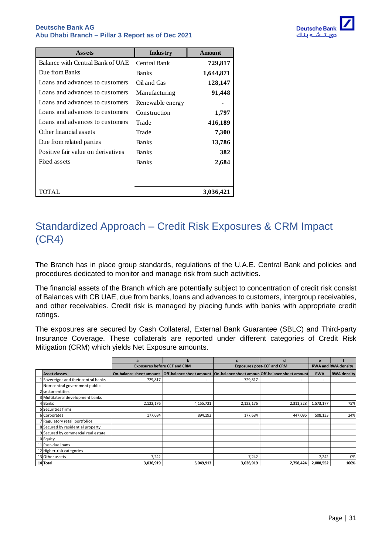

| <b>Assets</b>                      | <b>Industry</b>  | <b>Amount</b> |
|------------------------------------|------------------|---------------|
| Balance with Central Bank of UAE   | Central Bank     | 729,817       |
| Due from Banks                     | <b>Banks</b>     | 1,644,871     |
| Loans and advances to customers    | Oil and Gas      | 128,147       |
| Loans and advances to customers    | Manufacturing    | 91,448        |
| Loans and advances to customers    | Renewable energy |               |
| Loans and advances to customers    | Construction     | 1,797         |
| Loans and advances to customers    | Trade            | 416,189       |
| Other financial assets             | Trade            | 7,300         |
| Due from related parties           | <b>Banks</b>     | 13,786        |
| Positive fair value on derivatives | <b>Banks</b>     | 382           |
| Fixed assets                       | <b>Banks</b>     | 2,684         |
|                                    |                  |               |
| TOTAL                              |                  | 3,036,421     |

# <span id="page-30-0"></span>Standardized Approach – Credit Risk Exposures & CRM Impact (CR4)

The Branch has in place group standards, regulations of the U.A.E. Central Bank and policies and procedures dedicated to monitor and manage risk from such activities.

The financial assets of the Branch which are potentially subject to concentration of credit risk consist of Balances with CB UAE, due from banks, loans and advances to customers, intergroup receivables, and other receivables. Credit risk is managed by placing funds with banks with appropriate credit ratings.

The exposures are secured by Cash Collateral, External Bank Guarantee (SBLC) and Third-party Insurance Coverage. These collaterals are reported under different categories of Credit Risk Mitigation (CRM) which yields Net Exposure amounts.

|  |                                      | a                                                                                                     | h                                   |                                   | d                        | e                          |                    |
|--|--------------------------------------|-------------------------------------------------------------------------------------------------------|-------------------------------------|-----------------------------------|--------------------------|----------------------------|--------------------|
|  |                                      |                                                                                                       | <b>Exposures before CCF and CRM</b> | <b>Exposures post-CCF and CRM</b> |                          | <b>RWA and RWA density</b> |                    |
|  | Asset classes                        | On-balance sheet amount   Off-balance sheet amount   On-balance sheet amoun  Off-balance sheet amount |                                     |                                   |                          | <b>RWA</b>                 | <b>RWA density</b> |
|  | 1 Sovereigns and their central banks | 729,817                                                                                               |                                     | 729,817                           | $\overline{\phantom{a}}$ | $\overline{\phantom{a}}$   |                    |
|  | Non-central government public        |                                                                                                       |                                     |                                   |                          |                            |                    |
|  | 2 sector entities                    |                                                                                                       |                                     |                                   |                          |                            |                    |
|  | 3 Multilateral development banks     |                                                                                                       |                                     |                                   |                          |                            |                    |
|  | 4 Banks                              | 2,122,176                                                                                             | 4,155,721                           | 2,122,176                         | 2,311,328                | 1,573,177                  | 75%                |
|  | 5 Securities firms                   |                                                                                                       |                                     |                                   |                          |                            |                    |
|  | 6 Corporates                         | 177,684                                                                                               | 894,192                             | 177,684                           | 447,096                  | 508,133                    | 24%                |
|  | 7 Regulatory retail portfolios       |                                                                                                       |                                     |                                   |                          |                            |                    |
|  | 8 Secured by residential property    |                                                                                                       |                                     |                                   |                          |                            |                    |
|  | 9 Secured by commercial real estate  |                                                                                                       |                                     |                                   |                          |                            |                    |
|  | 10 Equity                            |                                                                                                       |                                     |                                   |                          |                            |                    |
|  | 11 Past-due loans                    |                                                                                                       |                                     |                                   |                          |                            |                    |
|  | 12 Higher-risk categories            |                                                                                                       |                                     |                                   |                          |                            |                    |
|  | 13 Other assets                      | 7,242                                                                                                 |                                     | 7,242                             |                          | 7,242                      | 0%                 |
|  | 14 Total                             | 3,036,919                                                                                             | 5,049,913                           | 3,036,919                         | 2,758,424                | 2,088,552                  | 100%               |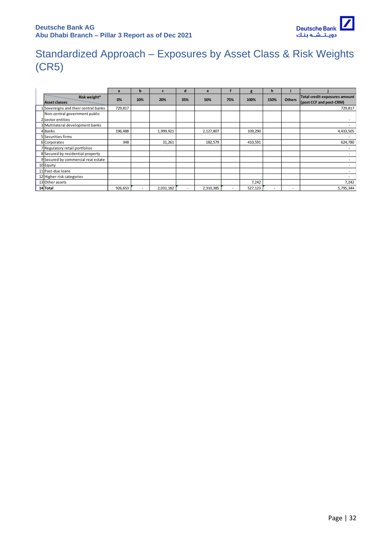

# <span id="page-31-0"></span>Standardized Approach – Exposures by Asset Class & Risk Weights (CR5)

|                                                    | a       | b   |           | a   | e         |     | g       | n    |                          |                                                          |
|----------------------------------------------------|---------|-----|-----------|-----|-----------|-----|---------|------|--------------------------|----------------------------------------------------------|
| Risk weight*<br><b>Asset classes</b>               | 0%      | 10% | 20%       | 35% | 50%       | 75% | 100%    | 150% | <b>Others</b>            | Total credit exposures amount<br>(post CCF and post-CRM) |
| 1 Sovereigns and their central banks               | 729,817 |     |           |     |           |     |         |      |                          | 729,817                                                  |
| Non-central government public<br>2 sector entities |         |     |           |     |           |     |         |      |                          |                                                          |
| 3 Multilateral development banks                   |         |     |           |     |           |     |         |      |                          |                                                          |
| 4 Banks                                            | 196,488 |     | 1,999,921 |     | 2,127,807 |     | 109,290 |      |                          | 4,433,505                                                |
| 5 Securities firms                                 |         |     |           |     |           |     |         |      |                          |                                                          |
| 6 Corporates                                       | 348     |     | 31,261    |     | 182,579   |     | 410,591 |      |                          | 624,780                                                  |
| 7 Regulatory retail portfolios                     |         |     |           |     |           |     |         |      |                          | $\sim$                                                   |
| 8 Secured by residential property                  |         |     |           |     |           |     |         |      |                          |                                                          |
| 9 Secured by commercial real estate                |         |     |           |     |           |     |         |      |                          |                                                          |
| 10 Equity                                          |         |     |           |     |           |     |         |      |                          |                                                          |
| 11 Past-due loans                                  |         |     |           |     |           |     |         |      |                          |                                                          |
| 12 Higher-risk categories                          |         |     |           |     |           |     |         |      |                          |                                                          |
| 13 Other assets                                    |         |     |           |     |           |     | 7,242   |      |                          | 7,242                                                    |
| 14 Total                                           | 926,653 |     | 2,031,182 |     | 2,310,385 |     | 527,123 |      | $\overline{\phantom{a}}$ | 5,795,344                                                |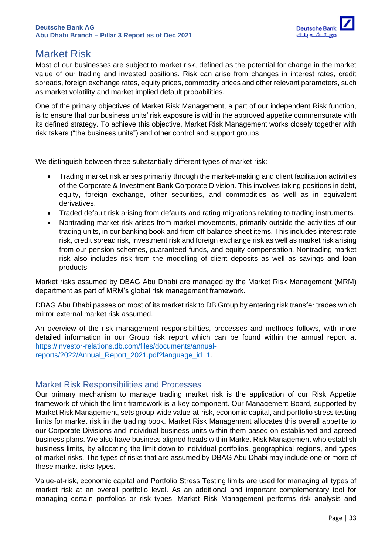

# <span id="page-32-0"></span>Market Risk

Most of our businesses are subject to market risk, defined as the potential for change in the market value of our trading and invested positions. Risk can arise from changes in interest rates, credit spreads, foreign exchange rates, equity prices, commodity prices and other relevant parameters, such as market volatility and market implied default probabilities.

One of the primary objectives of Market Risk Management, a part of our independent Risk function, is to ensure that our business units' risk exposure is within the approved appetite commensurate with its defined strategy. To achieve this objective, Market Risk Management works closely together with risk takers ("the business units") and other control and support groups.

We distinguish between three substantially different types of market risk:

- Trading market risk arises primarily through the market-making and client facilitation activities of the Corporate & Investment Bank Corporate Division. This involves taking positions in debt, equity, foreign exchange, other securities, and commodities as well as in equivalent derivatives.
- Traded default risk arising from defaults and rating migrations relating to trading instruments.
- Nontrading market risk arises from market movements, primarily outside the activities of our trading units, in our banking book and from off-balance sheet items. This includes interest rate risk, credit spread risk, investment risk and foreign exchange risk as well as market risk arising from our pension schemes, guaranteed funds, and equity compensation. Nontrading market risk also includes risk from the modelling of client deposits as well as savings and loan products.

Market risks assumed by DBAG Abu Dhabi are managed by the Market Risk Management (MRM) department as part of MRM's global risk management framework.

DBAG Abu Dhabi passes on most of its market risk to DB Group by entering risk transfer trades which mirror external market risk assumed.

An overview of the risk management responsibilities, processes and methods follows, with more detailed information in our Group risk report which can be found within the annual report at [https://investor-relations.db.com/files/documents/annual](https://investor-relations.db.com/files/documents/annual-reports/2022/Annual_Report_2021.pdf?language_id=1)[reports/2022/Annual\\_Report\\_2021.pdf?language\\_id=1.](https://investor-relations.db.com/files/documents/annual-reports/2022/Annual_Report_2021.pdf?language_id=1)

### <span id="page-32-1"></span>Market Risk Responsibilities and Processes

Our primary mechanism to manage trading market risk is the application of our Risk Appetite framework of which the limit framework is a key component. Our Management Board, supported by Market Risk Management, sets group-wide value-at-risk, economic capital, and portfolio stress testing limits for market risk in the trading book. Market Risk Management allocates this overall appetite to our Corporate Divisions and individual business units within them based on established and agreed business plans. We also have business aligned heads within Market Risk Management who establish business limits, by allocating the limit down to individual portfolios, geographical regions, and types of market risks. The types of risks that are assumed by DBAG Abu Dhabi may include one or more of these market risks types.

Value-at-risk, economic capital and Portfolio Stress Testing limits are used for managing all types of market risk at an overall portfolio level. As an additional and important complementary tool for managing certain portfolios or risk types, Market Risk Management performs risk analysis and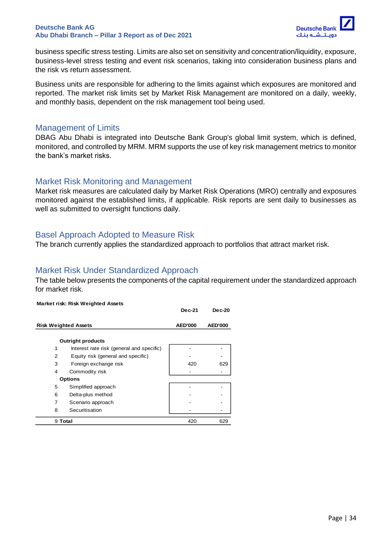

business specific stress testing. Limits are also set on sensitivity and concentration/liquidity, exposure, business-level stress testing and event risk scenarios, taking into consideration business plans and the risk vs return assessment.

Business units are responsible for adhering to the limits against which exposures are monitored and reported. The market risk limits set by Market Risk Management are monitored on a daily, weekly, and monthly basis, dependent on the risk management tool being used.

#### <span id="page-33-0"></span>Management of Limits

DBAG Abu Dhabi is integrated into Deutsche Bank Group's global limit system, which is defined, monitored, and controlled by MRM. MRM supports the use of key risk management metrics to monitor the bank's market risks.

### <span id="page-33-1"></span>Market Risk Monitoring and Management

Market risk measures are calculated daily by Market Risk Operations (MRO) centrally and exposures monitored against the established limits, if applicable. Risk reports are sent daily to businesses as well as submitted to oversight functions daily.

### <span id="page-33-2"></span>Basel Approach Adopted to Measure Risk

The branch currently applies the standardized approach to portfolios that attract market risk.

### <span id="page-33-3"></span>Market Risk Under Standardized Approach

The table below presents the components of the capital requirement under the standardized approach for market risk.

|   | <b>Market risk: Risk Weighted Assets</b>  |                |                |
|---|-------------------------------------------|----------------|----------------|
|   |                                           | <b>Dec-21</b>  | <b>Dec-20</b>  |
|   | <b>Risk Weighted Assets</b>               | <b>AED'000</b> | <b>AED'000</b> |
|   | <b>Outright products</b>                  |                |                |
| 1 | Interest rate risk (general and specific) |                |                |
| 2 | Equity risk (general and specific)        |                |                |
| 3 | Foreign exchange risk                     | 420            | 629            |
| 4 | Commodity risk                            |                |                |
|   | <b>Options</b>                            |                |                |
| 5 | Simplified approach                       |                |                |
| 6 | Delta-plus method                         |                |                |
| 7 | Scenario approach                         |                |                |
| 8 | Securitisation                            |                |                |
|   | 9 Total                                   | 420            | 629            |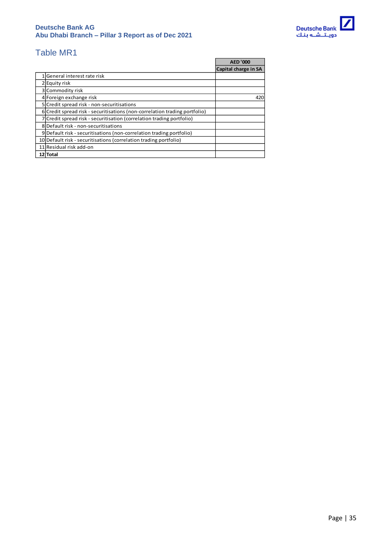

# <span id="page-34-0"></span>Table MR1

|                                                                            | <b>AFD '000</b>      |
|----------------------------------------------------------------------------|----------------------|
|                                                                            | Capital charge in SA |
| General interest rate risk                                                 |                      |
| 2 Equity risk                                                              |                      |
| 3 Commodity risk                                                           |                      |
| 4 Foreign exchange risk                                                    | 420                  |
| 5 Credit spread risk - non-securitisations                                 |                      |
| 6 Credit spread risk - securitisations (non-correlation trading portfolio) |                      |
| 7 Credit spread risk - securitisation (correlation trading portfolio)      |                      |
| 8 Default risk - non-securitisations                                       |                      |
| 9 Default risk - securitisations (non-correlation trading portfolio)       |                      |
| 10 Default risk - securitisations (correlation trading portfolio)          |                      |
| 11 Residual risk add-on                                                    |                      |
| 12 Total                                                                   |                      |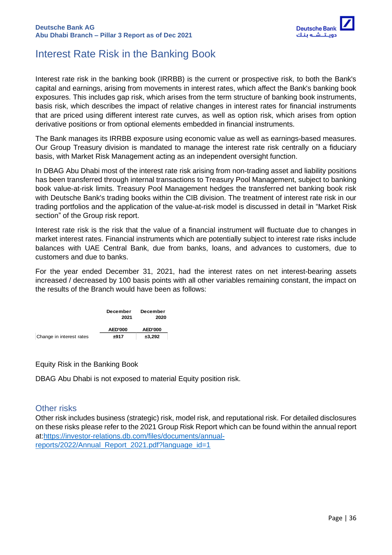

# <span id="page-35-0"></span>Interest Rate Risk in the Banking Book

Interest rate risk in the banking book (IRRBB) is the current or prospective risk, to both the Bank's capital and earnings, arising from movements in interest rates, which affect the Bank's banking book exposures. This includes gap risk, which arises from the term structure of banking book instruments, basis risk, which describes the impact of relative changes in interest rates for financial instruments that are priced using different interest rate curves, as well as option risk, which arises from option derivative positions or from optional elements embedded in financial instruments.

The Bank manages its IRRBB exposure using economic value as well as earnings-based measures. Our Group Treasury division is mandated to manage the interest rate risk centrally on a fiduciary basis, with Market Risk Management acting as an independent oversight function.

In DBAG Abu Dhabi most of the interest rate risk arising from non-trading asset and liability positions has been transferred through internal transactions to Treasury Pool Management, subject to banking book value-at-risk limits. Treasury Pool Management hedges the transferred net banking book risk with Deutsche Bank's trading books within the CIB division. The treatment of interest rate risk in our trading portfolios and the application of the value-at-risk model is discussed in detail in "Market Risk section" of the Group risk report.

Interest rate risk is the risk that the value of a financial instrument will fluctuate due to changes in market interest rates. Financial instruments which are potentially subject to interest rate risks include balances with UAE Central Bank, due from banks, loans, and advances to customers, due to customers and due to banks.

For the year ended December 31, 2021, had the interest rates on net interest-bearing assets increased / decreased by 100 basis points with all other variables remaining constant, the impact on the results of the Branch would have been as follows:



Equity Risk in the Banking Book

DBAG Abu Dhabi is not exposed to material Equity position risk.

### <span id="page-35-1"></span>Other risks

Other risk includes business (strategic) risk, model risk, and reputational risk. For detailed disclosures on these risks please refer to the 2021 Group Risk Report which can be found within the annual report at[:https://investor-relations.db.com/files/documents/annual](https://investor-relations.db.com/files/documents/annual-reports/2022/Annual_Report_2021.pdf?language_id=1)[reports/2022/Annual\\_Report\\_2021.pdf?language\\_id=1](https://investor-relations.db.com/files/documents/annual-reports/2022/Annual_Report_2021.pdf?language_id=1)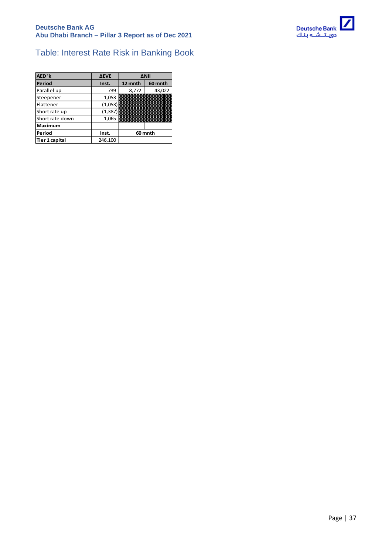

# <span id="page-36-0"></span>Table: Interest Rate Risk in Banking Book

| AED'k                 | <b>AEVE</b> | <b>ANII</b> |         |
|-----------------------|-------------|-------------|---------|
| Period                | Inst.       | 12 mnth     | 60 mnth |
| Parallel up           | 739         | 8,772       | 43,022  |
| Steepener             | 1,053       |             |         |
| Flattener             | (1,053)     |             |         |
| Short rate up         | (1, 387)    |             |         |
| Short rate down       | 1,065       |             |         |
| <b>Maximum</b>        |             |             |         |
| Period                | Inst.       | 60 mnth     |         |
| <b>Tier 1 capital</b> | 246,100     |             |         |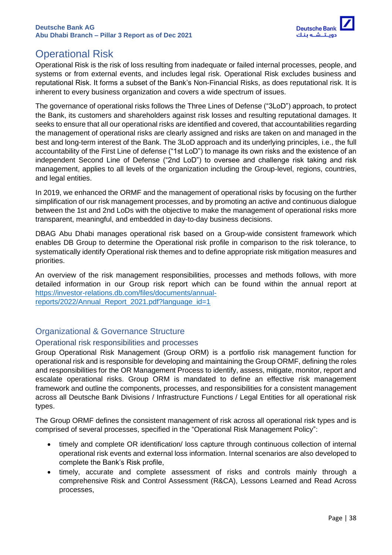

# <span id="page-37-0"></span>Operational Risk

Operational Risk is the risk of loss resulting from inadequate or failed internal processes, people, and systems or from external events, and includes legal risk. Operational Risk excludes business and reputational Risk. It forms a subset of the Bank's Non-Financial Risks, as does reputational risk. It is inherent to every business organization and covers a wide spectrum of issues.

The governance of operational risks follows the Three Lines of Defense ("3LoD") approach, to protect the Bank, its customers and shareholders against risk losses and resulting reputational damages. It seeks to ensure that all our operational risks are identified and covered, that accountabilities regarding the management of operational risks are clearly assigned and risks are taken on and managed in the best and long-term interest of the Bank. The 3LoD approach and its underlying principles, i.e., the full accountability of the First Line of defense ("1st LoD") to manage its own risks and the existence of an independent Second Line of Defense ("2nd LoD") to oversee and challenge risk taking and risk management, applies to all levels of the organization including the Group-level, regions, countries, and legal entities.

In 2019, we enhanced the ORMF and the management of operational risks by focusing on the further simplification of our risk management processes, and by promoting an active and continuous dialogue between the 1st and 2nd LoDs with the objective to make the management of operational risks more transparent, meaningful, and embedded in day-to-day business decisions.

DBAG Abu Dhabi manages operational risk based on a Group-wide consistent framework which enables DB Group to determine the Operational risk profile in comparison to the risk tolerance, to systematically identify Operational risk themes and to define appropriate risk mitigation measures and priorities.

An overview of the risk management responsibilities, processes and methods follows, with more detailed information in our Group risk report which can be found within the annual report at [https://investor-relations.db.com/files/documents/annual](https://investor-relations.db.com/files/documents/annual-reports/2022/Annual_Report_2021.pdf?language_id=1)reports/2022/Annual Report 2021.pdf?language\_id=1

### <span id="page-37-1"></span>Organizational & Governance Structure

### <span id="page-37-2"></span>Operational risk responsibilities and processes

Group Operational Risk Management (Group ORM) is a portfolio risk management function for operational risk and is responsible for developing and maintaining the Group ORMF, defining the roles and responsibilities for the OR Management Process to identify, assess, mitigate, monitor, report and escalate operational risks. Group ORM is mandated to define an effective risk management framework and outline the components, processes, and responsibilities for a consistent management across all Deutsche Bank Divisions / Infrastructure Functions / Legal Entities for all operational risk types.

The Group ORMF defines the consistent management of risk across all operational risk types and is comprised of several processes, specified in the "Operational Risk Management Policy":

- timely and complete OR identification/ loss capture through continuous collection of internal operational risk events and external loss information. Internal scenarios are also developed to complete the Bank's Risk profile,
- timely, accurate and complete assessment of risks and controls mainly through a comprehensive Risk and Control Assessment (R&CA), Lessons Learned and Read Across processes,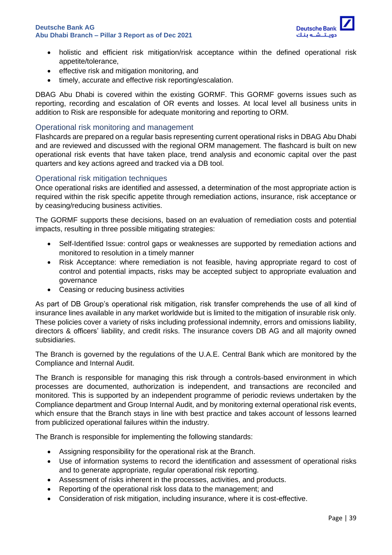

- holistic and efficient risk mitigation/risk acceptance within the defined operational risk appetite/tolerance,
- effective risk and mitigation monitoring, and
- timely, accurate and effective risk reporting/escalation.

DBAG Abu Dhabi is covered within the existing GORMF. This GORMF governs issues such as reporting, recording and escalation of OR events and losses. At local level all business units in addition to Risk are responsible for adequate monitoring and reporting to ORM.

#### <span id="page-38-0"></span>Operational risk monitoring and management

Flashcards are prepared on a regular basis representing current operational risks in DBAG Abu Dhabi and are reviewed and discussed with the regional ORM management. The flashcard is built on new operational risk events that have taken place, trend analysis and economic capital over the past quarters and key actions agreed and tracked via a DB tool.

#### <span id="page-38-1"></span>Operational risk mitigation techniques

Once operational risks are identified and assessed, a determination of the most appropriate action is required within the risk specific appetite through remediation actions, insurance, risk acceptance or by ceasing/reducing business activities.

The GORMF supports these decisions, based on an evaluation of remediation costs and potential impacts, resulting in three possible mitigating strategies:

- Self-Identified Issue: control gaps or weaknesses are supported by remediation actions and monitored to resolution in a timely manner
- Risk Acceptance: where remediation is not feasible, having appropriate regard to cost of control and potential impacts, risks may be accepted subject to appropriate evaluation and governance
- Ceasing or reducing business activities

As part of DB Group's operational risk mitigation, risk transfer comprehends the use of all kind of insurance lines available in any market worldwide but is limited to the mitigation of insurable risk only. These policies cover a variety of risks including professional indemnity, errors and omissions liability, directors & officers' liability, and credit risks. The insurance covers DB AG and all majority owned subsidiaries.

The Branch is governed by the regulations of the U.A.E. Central Bank which are monitored by the Compliance and Internal Audit.

The Branch is responsible for managing this risk through a controls-based environment in which processes are documented, authorization is independent, and transactions are reconciled and monitored. This is supported by an independent programme of periodic reviews undertaken by the Compliance department and Group Internal Audit, and by monitoring external operational risk events, which ensure that the Branch stays in line with best practice and takes account of lessons learned from publicized operational failures within the industry.

The Branch is responsible for implementing the following standards:

- Assigning responsibility for the operational risk at the Branch.
- Use of information systems to record the identification and assessment of operational risks and to generate appropriate, regular operational risk reporting.
- Assessment of risks inherent in the processes, activities, and products.
- Reporting of the operational risk loss data to the management; and
- Consideration of risk mitigation, including insurance, where it is cost-effective.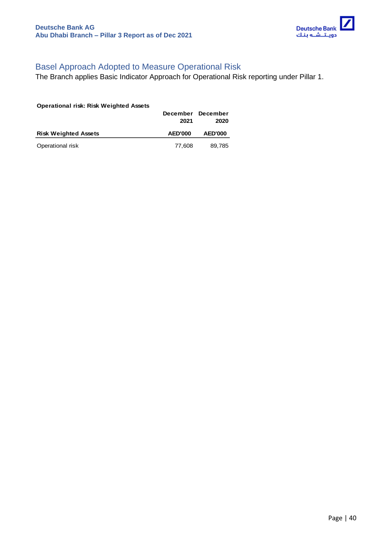

# <span id="page-39-0"></span>Basel Approach Adopted to Measure Operational Risk

The Branch applies Basic Indicator Approach for Operational Risk reporting under Pillar 1.

| <b>Operational risk: Risk Weighted Assets</b> | December<br>2021 | December<br>2020 |
|-----------------------------------------------|------------------|------------------|
| <b>Risk Weighted Assets</b>                   | <b>AED'000</b>   | <b>AED'000</b>   |
| Operational risk                              | 77,608           | 89,785           |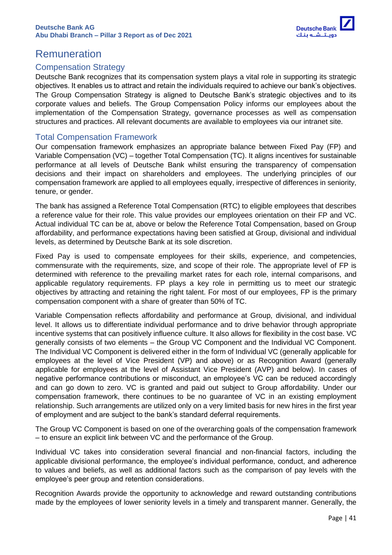

# <span id="page-40-0"></span>Remuneration

### <span id="page-40-1"></span>Compensation Strategy

Deutsche Bank recognizes that its compensation system plays a vital role in supporting its strategic objectives. It enables us to attract and retain the individuals required to achieve our bank's objectives. The Group Compensation Strategy is aligned to Deutsche Bank's strategic objectives and to its corporate values and beliefs. The Group Compensation Policy informs our employees about the implementation of the Compensation Strategy, governance processes as well as compensation structures and practices. All relevant documents are available to employees via our intranet site.

### <span id="page-40-2"></span>Total Compensation Framework

Our compensation framework emphasizes an appropriate balance between Fixed Pay (FP) and Variable Compensation (VC) – together Total Compensation (TC). It aligns incentives for sustainable performance at all levels of Deutsche Bank whilst ensuring the transparency of compensation decisions and their impact on shareholders and employees. The underlying principles of our compensation framework are applied to all employees equally, irrespective of differences in seniority, tenure, or gender.

The bank has assigned a Reference Total Compensation (RTC) to eligible employees that describes a reference value for their role. This value provides our employees orientation on their FP and VC. Actual individual TC can be at, above or below the Reference Total Compensation, based on Group affordability, and performance expectations having been satisfied at Group, divisional and individual levels, as determined by Deutsche Bank at its sole discretion.

Fixed Pay is used to compensate employees for their skills, experience, and competencies, commensurate with the requirements, size, and scope of their role. The appropriate level of FP is determined with reference to the prevailing market rates for each role, internal comparisons, and applicable regulatory requirements. FP plays a key role in permitting us to meet our strategic objectives by attracting and retaining the right talent. For most of our employees, FP is the primary compensation component with a share of greater than 50% of TC.

Variable Compensation reflects affordability and performance at Group, divisional, and individual level. It allows us to differentiate individual performance and to drive behavior through appropriate incentive systems that can positively influence culture. It also allows for flexibility in the cost base. VC generally consists of two elements – the Group VC Component and the Individual VC Component. The Individual VC Component is delivered either in the form of Individual VC (generally applicable for employees at the level of Vice President (VP) and above) or as Recognition Award (generally applicable for employees at the level of Assistant Vice President (AVP) and below). In cases of negative performance contributions or misconduct, an employee's VC can be reduced accordingly and can go down to zero. VC is granted and paid out subject to Group affordability. Under our compensation framework, there continues to be no guarantee of VC in an existing employment relationship. Such arrangements are utilized only on a very limited basis for new hires in the first year of employment and are subject to the bank's standard deferral requirements.

The Group VC Component is based on one of the overarching goals of the compensation framework – to ensure an explicit link between VC and the performance of the Group.

Individual VC takes into consideration several financial and non-financial factors, including the applicable divisional performance, the employee's individual performance, conduct, and adherence to values and beliefs, as well as additional factors such as the comparison of pay levels with the employee's peer group and retention considerations.

Recognition Awards provide the opportunity to acknowledge and reward outstanding contributions made by the employees of lower seniority levels in a timely and transparent manner. Generally, the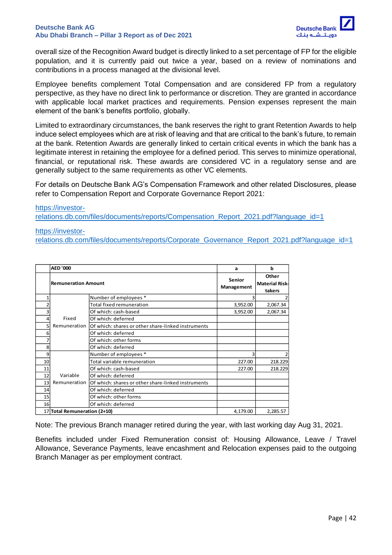

overall size of the Recognition Award budget is directly linked to a set percentage of FP for the eligible population, and it is currently paid out twice a year, based on a review of nominations and contributions in a process managed at the divisional level.

Employee benefits complement Total Compensation and are considered FP from a regulatory perspective, as they have no direct link to performance or discretion. They are granted in accordance with applicable local market practices and requirements. Pension expenses represent the main element of the bank's benefits portfolio, globally.

Limited to extraordinary circumstances, the bank reserves the right to grant Retention Awards to help induce select employees which are at risk of leaving and that are critical to the bank's future, to remain at the bank. Retention Awards are generally linked to certain critical events in which the bank has a legitimate interest in retaining the employee for a defined period. This serves to minimize operational, financial, or reputational risk. These awards are considered VC in a regulatory sense and are generally subject to the same requirements as other VC elements.

For details on Deutsche Bank AG's Compensation Framework and other related Disclosures, please refer to Compensation Report and Corporate Governance Report 2021:

[https://investor](https://investor-relations.db.com/files/documents/reports/Compensation_Report_2021.pdf?language_id=1)[relations.db.com/files/documents/reports/Compensation\\_Report\\_2021.pdf?language\\_id=1](https://investor-relations.db.com/files/documents/reports/Compensation_Report_2021.pdf?language_id=1)

#### [https://investor-](https://investor-relations.db.com/files/documents/reports/Corporate_Governance_Report_2021.pdf?language_id=1)

[relations.db.com/files/documents/reports/Corporate\\_Governance\\_Report\\_2021.pdf?language\\_id=1](https://investor-relations.db.com/files/documents/reports/Corporate_Governance_Report_2021.pdf?language_id=1)

|    | <b>AED '000</b>                          |                                                    | a                    | b                                        |  |
|----|------------------------------------------|----------------------------------------------------|----------------------|------------------------------------------|--|
|    | <b>Remuneration Amount</b>               |                                                    | Senior<br>Management | Other<br><b>Material Risk-</b><br>takers |  |
|    |                                          | Number of employees *                              |                      |                                          |  |
|    |                                          | Total fixed remuneration                           | 3,952.00             | 2,067.34                                 |  |
|    |                                          | Of which: cash-based                               | 3,952.00             | 2,067.34                                 |  |
|    | Fixed                                    | Of which: deferred                                 |                      |                                          |  |
| 5  | Remuneration                             | Of which: shares or other share-linked instruments |                      |                                          |  |
|    |                                          | Of which: deferred                                 |                      |                                          |  |
|    |                                          | Of which: other forms                              |                      |                                          |  |
| 8  |                                          | Of which: deferred                                 |                      |                                          |  |
| 9  |                                          | Number of employees *                              |                      |                                          |  |
| 10 |                                          | Total variable remuneration                        | 227.00               | 218.229                                  |  |
| 11 |                                          | Of which: cash-based                               | 227.00               | 218.229                                  |  |
| 12 | Variable                                 | Of which: deferred                                 |                      |                                          |  |
| 13 | Remuneration                             | Of which: shares or other share-linked instruments |                      |                                          |  |
| 14 |                                          | Of which: deferred                                 |                      |                                          |  |
| 15 |                                          | Of which: other forms                              |                      |                                          |  |
| 16 |                                          | Of which: deferred                                 |                      |                                          |  |
|    | 17 Total Remuneration (2+10)<br>4,179.00 |                                                    |                      |                                          |  |

Note: The previous Branch manager retired during the year, with last working day Aug 31, 2021.

Benefits included under Fixed Remuneration consist of: Housing Allowance, Leave / Travel Allowance, Severance Payments, leave encashment and Relocation expenses paid to the outgoing Branch Manager as per employment contract.